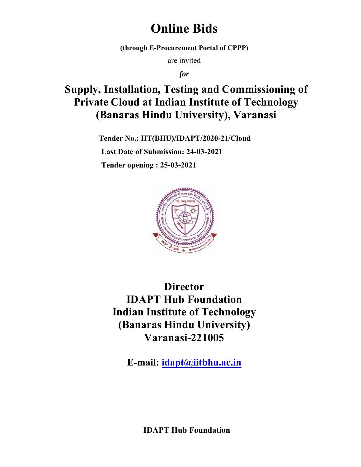# **Online Bids**

(through E-Procurement Portal of CPPP)

are invited

*for* 

# Supply, Installation, Testing and Commissioning of **Private Cloud at Indian Institute of Technology (Banaras Hindu University), Varanasi** mmissioning o<br>of Technology<br>Varanasi<br><sup>loud</sup><br>(ity)<br><u>n</u>

**Ten nder No.: I IIT(BHU) /IDAPT/2 2020-21/Cl loud Last Date of Submission: 24-03-2021 Tender opening : 25-03-2021** 



**IDAPT Hub Foundation IDAPT Hub Foundation**<br> **Indian Institute of Technology (Banaras Hindu University) Di irector Varan nasi-221 1005** 

**E-m mail: ida apt@iitb bhu.ac.in**

**IDAPT Hub Foundation**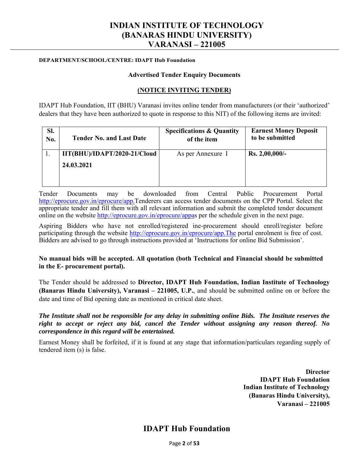# **INDIAN INSTITUTE OF TECHNOLOGY (BANARAS HINDU UNIVERSITY) VARANASI – 221005**

### **DEPARTMENT/SCHOOL/CENTRE: IDAPT Hub Foundation**

### **Advertised Tender Enquiry Documents**

### **(NOTICE INVITING TENDER)**

IDAPT Hub Foundation, IIT (BHU) Varanasi invites online tender from manufacturers (or their 'authorized' dealers that they have been authorized to quote in response to this NIT) of the following items are invited:

| SI.<br>No. | <b>Tender No. and Last Date</b> | <b>Specifications &amp; Quantity</b><br>of the item | <b>Earnest Money Deposit</b><br>to be submitted |
|------------|---------------------------------|-----------------------------------------------------|-------------------------------------------------|
|            | IIT(BHU)/IDAPT/2020-21/Cloud    | As per Annexure I                                   | $Rs. 2,00,000/$ -                               |
|            | 24.03.2021                      |                                                     |                                                 |

Tender Documents may be downloaded from Central Public Procurement Portal http://eprocure.gov.in/eprocure/app.Tenderers can access tender documents on the CPP Portal. Select the appropriate tender and fill them with all relevant information and submit the completed tender document online on the website http://eprocure.gov.in/eprocure/appas per the schedule given in the next page.

Aspiring Bidders who have not enrolled/registered ine-procurement should enroll/register before participating through the website http://eprocure.gov.in/eprocure/app.The portal enrolment is free of cost. Bidders are advised to go through instructions provided at 'Instructions for online Bid Submission'.

### **No manual bids will be accepted. All quotation (both Technical and Financial should be submitted in the E- procurement portal).**

The Tender should be addressed to **Director, IDAPT Hub Foundation, Indian Institute of Technology (Banaras Hindu University), Varanasi – 221005, U.P.**, and should be submitted online on or before the date and time of Bid opening date as mentioned in critical date sheet.

*The Institute shall not be responsible for any delay in submitting online Bids. The Institute reserves the right to accept or reject any bid, cancel the Tender without assigning any reason thereof. No correspondence in this regard will be entertained.* 

Earnest Money shall be forfeited, if it is found at any stage that information/particulars regarding supply of tendered item (s) is false.

> **Director IDAPT Hub Foundation Indian Institute of Technology (Banaras Hindu University), Varanasi – 221005**

## **IDAPT Hub Foundation**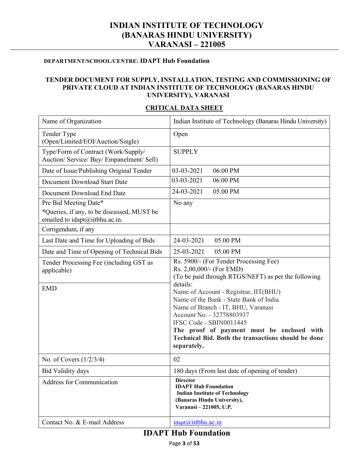# **INDIAN INSTITUTE OF TECHNOLOGY (BANARAS HINDU UNIVERSITY) VARANASI – 221005**

### **DEPARTMENT/SCHOOL/CENTRE: IDAPT Hub Foundation**

### **TENDER DOCUMENT FOR SUPPLY, INSTALLATION, TESTING AND COMMISSIONING OF PRIVATE CLOUD AT INDIAN INSTITUTE OF TECHNOLOGY (BANARAS HINDU UNIVERSITY), VARANASI**

| Name of Organization                                                                                  | Indian Institute of Technology (Banaras Hindu University)                                                                                                                                                                                                                                                                                                                                                                                         |
|-------------------------------------------------------------------------------------------------------|---------------------------------------------------------------------------------------------------------------------------------------------------------------------------------------------------------------------------------------------------------------------------------------------------------------------------------------------------------------------------------------------------------------------------------------------------|
| Tender Type<br>(Open/Limited/EOI/Auction/Single)                                                      | Open                                                                                                                                                                                                                                                                                                                                                                                                                                              |
| Type/Form of Contract (Work/Supply/<br>Auction/ Service/ Buy/ Empanelment/ Sell)                      | <b>SUPPLY</b>                                                                                                                                                                                                                                                                                                                                                                                                                                     |
| Date of Issue/Publishing Original Tender                                                              | 03-03-2021<br>06.00 PM                                                                                                                                                                                                                                                                                                                                                                                                                            |
| Document Download Start Date                                                                          | 03-03-2021<br>06.00 PM                                                                                                                                                                                                                                                                                                                                                                                                                            |
| Document Download End Date                                                                            | 24-03-2021<br>05.00 PM                                                                                                                                                                                                                                                                                                                                                                                                                            |
| Pre Bid Meeting Date*<br>*Queries, if any, to be discussed, MUST be<br>emailed to idapt@iitbhu.ac.in. | No any                                                                                                                                                                                                                                                                                                                                                                                                                                            |
| Corrigendum, if any                                                                                   |                                                                                                                                                                                                                                                                                                                                                                                                                                                   |
| Last Date and Time for Uploading of Bids                                                              | 24-03-2021<br>05.00 PM                                                                                                                                                                                                                                                                                                                                                                                                                            |
| Date and Time of Opening of Technical Bids                                                            | 25-03-2021<br>05.00 PM                                                                                                                                                                                                                                                                                                                                                                                                                            |
| Tender Processing Fee (including GST as<br>applicable)<br><b>EMD</b>                                  | Rs. 5900/- (For Tender Processing Fee)<br>Rs. 2,00,000/- (For EMD)<br>(To be paid through RTGS/NEFT) as per the following<br>details:<br>Name of Account - Registrar, IIT(BHU)<br>Name of the Bank - State Bank of India<br>Name of Branch - IT, BHU, Varanasi<br>Account No. - 32778803937<br>IFSC Code - SBIN0011445<br>The proof of payment must be enclosed with<br><b>Technical Bid. Both the transactions should be done</b><br>separately. |
| No. of Covers $(1/2/3/4)$                                                                             | 02                                                                                                                                                                                                                                                                                                                                                                                                                                                |
| <b>Bid Validity days</b>                                                                              | 180 days (From last date of opening of tender)                                                                                                                                                                                                                                                                                                                                                                                                    |
| <b>Address for Communication</b>                                                                      | <b>Director</b><br><b>IDAPT Hub Foundation</b><br><b>Indian Institute of Technology</b><br>(Banaras Hindu University),<br>Varanasi - 221005, U.P.                                                                                                                                                                                                                                                                                                 |
| Contact No. & E-mail Address                                                                          | $id$ <sub>apt</sub> $(a)$ iitbhu.ac.in                                                                                                                                                                                                                                                                                                                                                                                                            |

### **CRITICAL DATA SHEET**

# **IDAPT Hub Foundation**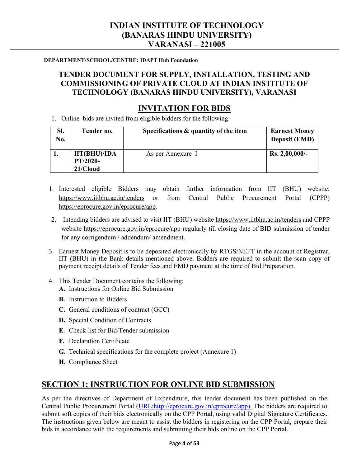# **INDIAN INSTITUTE OF TECHNOLOGY (BANARAS HINDU UNIVERSITY) VARANASI – 221005**

### **DEPARTMENT/SCHOOL/CENTRE: IDAPT Hub Foundation**

# **TENDER DOCUMENT FOR SUPPLY, INSTALLATION, TESTING AND COMMISSIONING OF PRIVATE CLOUD AT INDIAN INSTITUTE OF TECHNOLOGY (BANARAS HINDU UNIVERSITY), VARANASI**

# **INVITATION FOR BIDS**

1. Online bids are invited from eligible bidders for the following:

| Sl.<br>No. | Tender no.                                  | Specifications & quantity of the item | <b>Earnest Money</b><br><b>Deposit (EMD)</b> |
|------------|---------------------------------------------|---------------------------------------|----------------------------------------------|
|            | <b>IIT(BHU)/IDA</b><br>PT/2020-<br>21/Cloud | As per Annexure I                     | $Rs. 2,00,000/-$                             |

- 1. Interested eligible Bidders may obtain further information from IIT (BHU) website: https://www.iitbhu.ac.in/tenders or from Central Public Procurement Portal (CPPP) https://eprocure.gov.in/eprocure/app.
- 2. Intending bidders are advised to visit IIT (BHU) website https://www.iitbhu.ac.in/tenders and CPPP website https://eprocure.gov.in/eprocure/app regularly till closing date of BID submission of tender for any corrigendum / addendum/ amendment.
- 3. Earnest Money Deposit is to be deposited electronically by RTGS/NEFT in the account of Registrar, IIT (BHU) in the Bank details mentioned above. Bidders are required to submit the scan copy of payment receipt details of Tender fees and EMD payment at the time of Bid Preparation.
- 4. This Tender Document contains the following: **A.** Instructions for Online Bid Submission
	- **B.** Instruction to Bidders
	- **C.** General conditions of contract (GCC)
	- **D.** Special Condition of Contracts
	- **E.** Check-list for Bid/Tender submission
	- **F.** Declaration Certificate
	- **G.** Technical specifications for the complete project (Annexure 1)
	- **H.** Compliance Sheet

# **SECTION 1: INSTRUCTION FOR ONLINE BID SUBMISSION**

As per the directives of Department of Expenditure, this tender document has been published on the Central Public Procurement Portal (URL:http://eprocure.gov.in/eprocure/app). The bidders are required to submit soft copies of their bids electronically on the CPP Portal, using valid Digital Signature Certificates. The instructions given below are meant to assist the bidders in registering on the CPP Portal, prepare their bids in accordance with the requirements and submitting their bids online on the CPP Portal.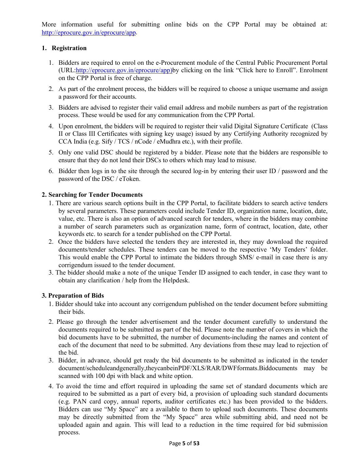More information useful for submitting online bids on the CPP Portal may be obtained at: http://eprocure.gov.in/eprocure/app.

### **1. Registration**

- 1. Bidders are required to enrol on the e-Procurement module of the Central Public Procurement Portal (URL:http://eprocure.gov.in/eprocure/app)by clicking on the link "Click here to Enroll". Enrolment on the CPP Portal is free of charge.
- 2. As part of the enrolment process, the bidders will be required to choose a unique username and assign a password for their accounts.
- 3. Bidders are advised to register their valid email address and mobile numbers as part of the registration process. These would be used for any communication from the CPP Portal.
- 4. Upon enrolment, the bidders will be required to register their valid Digital Signature Certificate (Class II or Class III Certificates with signing key usage) issued by any Certifying Authority recognized by CCA India (e.g. Sify / TCS / nCode / eMudhra etc.), with their profile.
- 5. Only one valid DSC should be registered by a bidder. Please note that the bidders are responsible to ensure that they do not lend their DSCs to others which may lead to misuse.
- 6. Bidder then logs in to the site through the secured log-in by entering their user ID / password and the password of the DSC / eToken.

### **2. Searching for Tender Documents**

- 1. There are various search options built in the CPP Portal, to facilitate bidders to search active tenders by several parameters. These parameters could include Tender ID, organization name, location, date, value, etc. There is also an option of advanced search for tenders, where in the bidders may combine a number of search parameters such as organization name, form of contract, location, date, other keywords etc. to search for a tender published on the CPP Portal.
- 2. Once the bidders have selected the tenders they are interested in, they may download the required documents/tender schedules. These tenders can be moved to the respective 'My Tenders' folder. This would enable the CPP Portal to intimate the bidders through SMS/ e-mail in case there is any corrigendum issued to the tender document.
- 3. The bidder should make a note of the unique Tender ID assigned to each tender, in case they want to obtain any clarification / help from the Helpdesk.

### **3. Preparation of Bids**

- 1. Bidder should take into account any corrigendum published on the tender document before submitting their bids.
- 2. Please go through the tender advertisement and the tender document carefully to understand the documents required to be submitted as part of the bid. Please note the number of covers in which the bid documents have to be submitted, the number of documents-including the names and content of each of the document that need to be submitted. Any deviations from these may lead to rejection of the bid.
- 3. Bidder, in advance, should get ready the bid documents to be submitted as indicated in the tender document/scheduleandgenerally,theycanbeinPDF/XLS/RAR/DWFformats.Biddocuments may be scanned with 100 dpi with black and white option.
- 4. To avoid the time and effort required in uploading the same set of standard documents which are required to be submitted as a part of every bid, a provision of uploading such standard documents (e.g. PAN card copy, annual reports, auditor certificates etc.) has been provided to the bidders. Bidders can use "My Space" are a available to them to upload such documents. These documents may be directly submitted from the "My Space" area while submitting abid, and need not be uploaded again and again. This will lead to a reduction in the time required for bid submission process.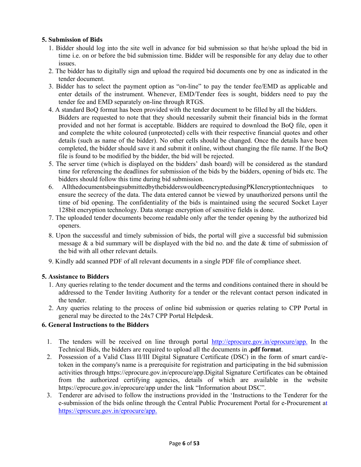### **5. Submission of Bids**

- 1. Bidder should log into the site well in advance for bid submission so that he/she upload the bid in time i.e. on or before the bid submission time. Bidder will be responsible for any delay due to other issues.
- 2. The bidder has to digitally sign and upload the required bid documents one by one as indicated in the tender document.
- 3. Bidder has to select the payment option as "on-line" to pay the tender fee/EMD as applicable and enter details of the instrument. Whenever, EMD/Tender fees is sought, bidders need to pay the tender fee and EMD separately on-line through RTGS.
- 4. A standard BoQ format has been provided with the tender document to be filled by all the bidders. Bidders are requested to note that they should necessarily submit their financial bids in the format provided and not her format is acceptable. Bidders are required to download the BoQ file, open it and complete the white coloured (unprotected) cells with their respective financial quotes and other details (such as name of the bidder). No other cells should be changed. Once the details have been completed, the bidder should save it and submit it online, without changing the file name. If the BoQ file is found to be modified by the bidder, the bid will be rejected.
- 5. The server time (which is displayed on the bidders' dash board) will be considered as the standard time for referencing the deadlines for submission of the bids by the bidders, opening of bids etc. The bidders should follow this time during bid submission.
- 6. AllthedocumentsbeingsubmittedbythebidderswouldbeencryptedusingPKIencryptiontechniques to ensure the secrecy of the data. The data entered cannot be viewed by unauthorized persons until the time of bid opening. The confidentiality of the bids is maintained using the secured Socket Layer 128bit encryption technology. Data storage encryption of sensitive fields is done.
- 7. The uploaded tender documents become readable only after the tender opening by the authorized bid openers.
- 8. Upon the successful and timely submission of bids, the portal will give a successful bid submission message  $\&$  a bid summary will be displayed with the bid no. and the date  $\&$  time of submission of the bid with all other relevant details.
- 9. Kindly add scanned PDF of all relevant documents in a single PDF file of compliance sheet.

### **5. Assistance to Bidders**

- 1. Any queries relating to the tender document and the terms and conditions contained there in should be addressed to the Tender Inviting Authority for a tender or the relevant contact person indicated in the tender.
- 2. Any queries relating to the process of online bid submission or queries relating to CPP Portal in general may be directed to the 24x7 CPP Portal Helpdesk.

### **6. General Instructions to the Bidders**

- 1. The tenders will be received on line through portal http://eprocure.gov.in/eprocure/app. In the Technical Bids, the bidders are required to upload all the documents in **.pdf format**.
- 2. Possession of a Valid Class II/III Digital Signature Certificate (DSC) in the form of smart card/etoken in the company's name is a prerequisite for registration and participating in the bid submission activities through https://eprocure.gov.in/eprocure/app.Digital Signature Certificates can be obtained from the authorized certifying agencies, details of which are available in the website https://eprocure.gov.in/eprocure/app under the link "Information about DSC".
- 3. Tenderer are advised to follow the instructions provided in the 'Instructions to the Tenderer for the e-submission of the bids online through the Central Public Procurement Portal for e-Procurement at https://eprocure.gov.in/eprocure/app.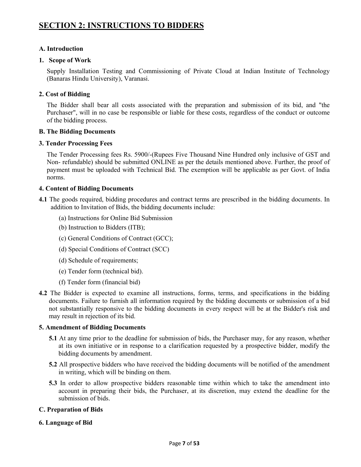### **A. Introduction**

### **1. Scope of Work**

Supply Installation Testing and Commissioning of Private Cloud at Indian Institute of Technology (Banaras Hindu University), Varanasi.

### **2. Cost of Bidding**

The Bidder shall bear all costs associated with the preparation and submission of its bid, and "the Purchaser", will in no case be responsible or liable for these costs, regardless of the conduct or outcome of the bidding process.

### **B. The Bidding Documents**

### **3. Tender Processing Fees**

The Tender Processing fees Rs. 5900/-(Rupees Five Thousand Nine Hundred only inclusive of GST and Non- refundable) should be submitted ONLINE as per the details mentioned above. Further, the proof of payment must be uploaded with Technical Bid. The exemption will be applicable as per Govt. of India norms.

### **4. Content of Bidding Documents**

- **4.1** The goods required, bidding procedures and contract terms are prescribed in the bidding documents. In addition to Invitation of Bids, the bidding documents include:
	- (a) Instructions for Online Bid Submission
	- (b) Instruction to Bidders (ITB);
	- (c) General Conditions of Contract (GCC);
	- (d) Special Conditions of Contract (SCC)
	- (d) Schedule of requirements;
	- (e) Tender form (technical bid).
	- (f) Tender form (financial bid)
- **4.2** The Bidder is expected to examine all instructions, forms, terms, and specifications in the bidding documents. Failure to furnish all information required by the bidding documents or submission of a bid not substantially responsive to the bidding documents in every respect will be at the Bidder's risk and may result in rejection of its bid.

### **5. Amendment of Bidding Documents**

- **5.1** At any time prior to the deadline for submission of bids, the Purchaser may, for any reason, whether at its own initiative or in response to a clarification requested by a prospective bidder, modify the bidding documents by amendment.
- **5.2** All prospective bidders who have received the bidding documents will be notified of the amendment in writing, which will be binding on them.
- **5.3** In order to allow prospective bidders reasonable time within which to take the amendment into account in preparing their bids, the Purchaser, at its discretion, may extend the deadline for the submission of bids.

### **C. Preparation of Bids**

### **6. Language of Bid**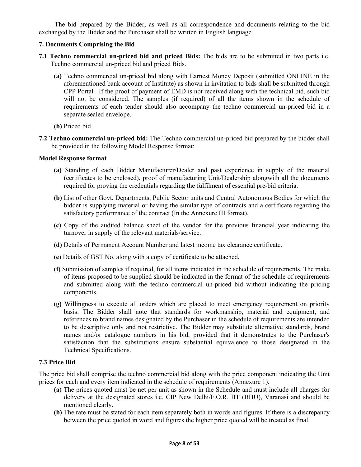The bid prepared by the Bidder, as well as all correspondence and documents relating to the bid exchanged by the Bidder and the Purchaser shall be written in English language.

### **7. Documents Comprising the Bid**

- **7.1 Techno commercial un-priced bid and priced Bids:** The bids are to be submitted in two parts i.e. Techno commercial un-priced bid and priced Bids.
	- **(a)** Techno commercial un-priced bid along with Earnest Money Deposit (submitted ONLINE in the aforementioned bank account of Institute) as shown in invitation to bids shall be submitted through CPP Portal. If the proof of payment of EMD is not received along with the technical bid, such bid will not be considered. The samples (if required) of all the items shown in the schedule of requirements of each tender should also accompany the techno commercial un-priced bid in a separate sealed envelope.
	- **(b)** Priced bid.
- **7.2 Techno commercial un-priced bid:** The Techno commercial un-priced bid prepared by the bidder shall be provided in the following Model Response format:

### **Model Response format**

- **(a)** Standing of each Bidder Manufacturer/Dealer and past experience in supply of the material (certificates to be enclosed), proof of manufacturing Unit/Dealership alongwith all the documents required for proving the credentials regarding the fulfilment of essential pre-bid criteria.
- **(b)** List of other Govt. Departments, Public Sector units and Central Autonomous Bodies for which the bidder is supplying material or having the similar type of contracts and a certificate regarding the satisfactory performance of the contract (In the Annexure III format).
- **(c)** Copy of the audited balance sheet of the vendor for the previous financial year indicating the turnover in supply of the relevant materials/service.
- **(d)** Details of Permanent Account Number and latest income tax clearance certificate.
- **(e)** Details of GST No. along with a copy of certificate to be attached.
- **(f)** Submission of samples if required, for all items indicated in the schedule of requirements. The make of items proposed to be supplied should be indicated in the format of the schedule of requirements and submitted along with the techno commercial un-priced bid without indicating the pricing components.
- **(g)** Willingness to execute all orders which are placed to meet emergency requirement on priority basis. The Bidder shall note that standards for workmanship, material and equipment, and references to brand names designated by the Purchaser in the schedule of requirements are intended to be descriptive only and not restrictive. The Bidder may substitute alternative standards, brand names and/or catalogue numbers in his bid, provided that it demonstrates to the Purchaser's satisfaction that the substitutions ensure substantial equivalence to those designated in the Technical Specifications.

### **7.3 Price Bid**

The price bid shall comprise the techno commercial bid along with the price component indicating the Unit prices for each and every item indicated in the schedule of requirements (Annexure 1).

- **(a)** The prices quoted must be net per unit as shown in the Schedule and must include all charges for delivery at the designated stores i.e. CIP New Delhi/F.O.R. IIT (BHU), Varanasi and should be mentioned clearly.
- **(b)** The rate must be stated for each item separately both in words and figures. If there is a discrepancy between the price quoted in word and figures the higher price quoted will be treated as final.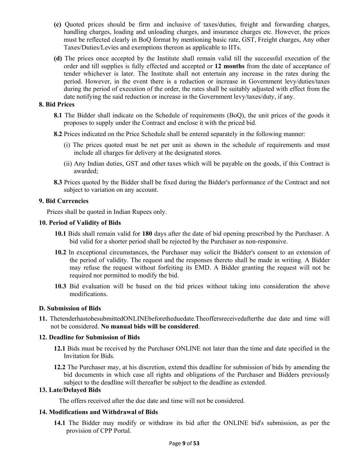- **(c)** Quoted prices should be firm and inclusive of taxes/duties, freight and forwarding charges, handling charges, loading and unloading charges, and insurance charges etc. However, the prices must be reflected clearly in BoQ format by mentioning basic rate, GST, Freight charges, Any other Taxes/Duties/Levies and exemptions thereon as applicable to IITs.
- **(d)** The prices once accepted by the Institute shall remain valid till the successful execution of the order and till supplies is fully effected and accepted or **12 months** from the date of acceptance of tender whichever is later. The Institute shall not entertain any increase in the rates during the period. However, in the event there is a reduction or increase in Government levy/duties/taxes during the period of execution of the order, the rates shall be suitably adjusted with effect from the date notifying the said reduction or increase in the Government levy/taxes/duty, if any.

### **8. Bid Prices**

- **8.1** The Bidder shall indicate on the Schedule of requirements (BoQ), the unit prices of the goods it proposes to supply under the Contract and enclose it with the priced bid.
- **8.2** Prices indicated on the Price Schedule shall be entered separately in the following manner:
	- (i) The prices quoted must be net per unit as shown in the schedule of requirements and must include all charges for delivery at the designated stores.
	- (ii) Any Indian duties, GST and other taxes which will be payable on the goods, if this Contract is awarded;
- **8.3** Prices quoted by the Bidder shall be fixed during the Bidder's performance of the Contract and not subject to variation on any account.

### **9. Bid Currencies**

Prices shall be quoted in Indian Rupees only.

### **10. Period of Validity of Bids**

- **10.1** Bids shall remain valid for **180** days after the date of bid opening prescribed by the Purchaser. A bid valid for a shorter period shall be rejected by the Purchaser as non-responsive.
- **10.2** In exceptional circumstances, the Purchaser may solicit the Bidder's consent to an extension of the period of validity. The request and the responses thereto shall be made in writing. A Bidder may refuse the request without forfeiting its EMD. A Bidder granting the request will not be required nor permitted to modify the bid.
- **10.3** Bid evaluation will be based on the bid prices without taking into consideration the above modifications.

### **D. Submission of Bids**

**11.** ThetenderhastobesubmittedONLINEbeforetheduedate.Theoffersreceivedafterthe due date and time will not be considered. **No manual bids will be considered**.

### **12. Deadline for Submission of Bids**

- **12.1** Bids must be received by the Purchaser ONLINE not later than the time and date specified in the Invitation for Bids.
- **12.2** The Purchaser may, at his discretion, extend this deadline for submission of bids by amending the bid documents in which case all rights and obligations of the Purchaser and Bidders previously subject to the deadline will thereafter be subject to the deadline as extended.

### **13. Late/Delayed Bids**

The offers received after the due date and time will not be considered.

### **14. Modifications and Withdrawal of Bids**

**14.1** The Bidder may modify or withdraw its bid after the ONLINE bid's submission, as per the provision of CPP Portal.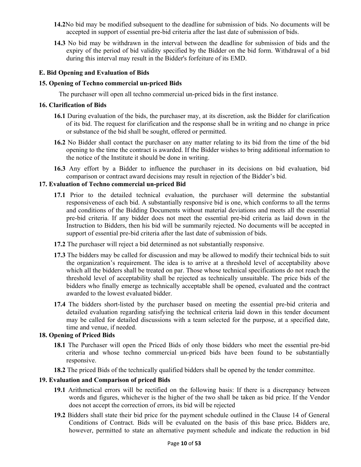- **14.2**No bid may be modified subsequent to the deadline for submission of bids. No documents will be accepted in support of essential pre-bid criteria after the last date of submission of bids.
- **14.3** No bid may be withdrawn in the interval between the deadline for submission of bids and the expiry of the period of bid validity specified by the Bidder on the bid form. Withdrawal of a bid during this interval may result in the Bidder's forfeiture of its EMD.

### **E. Bid Opening and Evaluation of Bids**

### **15. Opening of Techno commercial un-priced Bids**

The purchaser will open all techno commercial un-priced bids in the first instance.

### **16. Clarification of Bids**

- **16.1** During evaluation of the bids, the purchaser may, at its discretion, ask the Bidder for clarification of its bid. The request for clarification and the response shall be in writing and no change in price or substance of the bid shall be sought, offered or permitted.
- **16.2** No Bidder shall contact the purchaser on any matter relating to its bid from the time of the bid opening to the time the contract is awarded. If the Bidder wishes to bring additional information to the notice of the Institute it should be done in writing.
- **16.3** Any effort by a Bidder to influence the purchaser in its decisions on bid evaluation, bid comparison or contract award decisions may result in rejection of the Bidder's bid.

### **17. Evaluation of Techno commercial un-priced Bid**

- **17.1** Prior to the detailed technical evaluation, the purchaser will determine the substantial responsiveness of each bid. A substantially responsive bid is one, which conforms to all the terms and conditions of the Bidding Documents without material deviations and meets all the essential pre-bid criteria. If any bidder does not meet the essential pre-bid criteria as laid down in the Instruction to Bidders, then his bid will be summarily rejected. No documents will be accepted in support of essential pre-bid criteria after the last date of submission of bids.
- **17.2** The purchaser will reject a bid determined as not substantially responsive.
- **17.3** The bidders may be called for discussion and may be allowed to modify their technical bids to suit the organization's requirement. The idea is to arrive at a threshold level of acceptability above which all the bidders shall be treated on par. Those whose technical specifications do not reach the threshold level of acceptability shall be rejected as technically unsuitable. The price bids of the bidders who finally emerge as technically acceptable shall be opened, evaluated and the contract awarded to the lowest evaluated bidder.
- **17.4** The bidders short-listed by the purchaser based on meeting the essential pre-bid criteria and detailed evaluation regarding satisfying the technical criteria laid down in this tender document may be called for detailed discussions with a team selected for the purpose, at a specified date, time and venue, if needed.

### **18. Opening of Priced Bids**

- **18.1** The Purchaser will open the Priced Bids of only those bidders who meet the essential pre-bid criteria and whose techno commercial un-priced bids have been found to be substantially responsive.
- **18.2** The priced Bids of the technically qualified bidders shall be opened by the tender committee.

### **19. Evaluation and Comparison of priced Bids**

- **19.1** Arithmetical errors will be rectified on the following basis: If there is a discrepancy between words and figures, whichever is the higher of the two shall be taken as bid price. If the Vendor does not accept the correction of errors, its bid will be rejected
- **19.2** Bidders shall state their bid price for the payment schedule outlined in the Clause 14 of General Conditions of Contract. Bids will be evaluated on the basis of this base price**.** Bidders are, however, permitted to state an alternative payment schedule and indicate the reduction in bid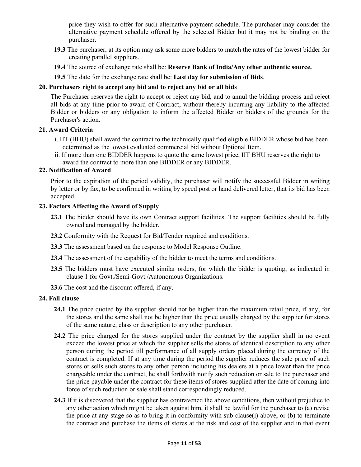price they wish to offer for such alternative payment schedule. The purchaser may consider the alternative payment schedule offered by the selected Bidder but it may not be binding on the purchaser**.** 

- **19.3** The purchaser, at its option may ask some more bidders to match the rates of the lowest bidder for creating parallel suppliers.
- **19.4** The source of exchange rate shall be: **Reserve Bank of India/Any other authentic source.**

**19.5** The date for the exchange rate shall be: **Last day for submission of Bids**.

### **20. Purchasers right to accept any bid and to reject any bid or all bids**

The Purchaser reserves the right to accept or reject any bid, and to annul the bidding process and reject all bids at any time prior to award of Contract, without thereby incurring any liability to the affected Bidder or bidders or any obligation to inform the affected Bidder or bidders of the grounds for the Purchaser's action.

### **21. Award Criteria**

- i. IIT (BHU) shall award the contract to the technically qualified eligible BIDDER whose bid has been determined as the lowest evaluated commercial bid without Optional Item.
- ii. If more than one BIDDER happens to quote the same lowest price, IIT BHU reserves the right to award the contract to more than one BIDDER or any BIDDER.

### **22. Notification of Award**

Prior to the expiration of the period validity, the purchaser will notify the successful Bidder in writing by letter or by fax, to be confirmed in writing by speed post or hand delivered letter, that its bid has been accepted.

### **23. Factors Affecting the Award of Supply**

- 23.1 The bidder should have its own Contract support facilities. The support facilities should be fully owned and managed by the bidder.
- **23.2** Conformity with the Request for Bid/Tender required and conditions.
- **23.3** The assessment based on the response to Model Response Outline.
- **23.4** The assessment of the capability of the bidder to meet the terms and conditions.
- **23.5** The bidders must have executed similar orders, for which the bidder is quoting, as indicated in clause 1 for Govt./Semi-Govt./Autonomous Organizations.
- **23.6** The cost and the discount offered, if any.

### **24. Fall clause**

- **24.1** The price quoted by the supplier should not be higher than the maximum retail price, if any, for the stores and the same shall not be higher than the price usually charged by the supplier for stores of the same nature, class or description to any other purchaser.
- **24.2** The price charged for the stores supplied under the contract by the supplier shall in no event exceed the lowest price at which the supplier sells the stores of identical description to any other person during the period till performance of all supply orders placed during the currency of the contract is completed. If at any time during the period the supplier reduces the sale price of such stores or sells such stores to any other person including his dealers at a price lower than the price chargeable under the contract, he shall forthwith notify such reduction or sale to the purchaser and the price payable under the contract for these items of stores supplied after the date of coming into force of such reduction or sale shall stand correspondingly reduced.
- **24.3** If it is discovered that the supplier has contravened the above conditions, then without prejudice to any other action which might be taken against him, it shall be lawful for the purchaser to (a) revise the price at any stage so as to bring it in conformity with sub-clause(i) above, or (b) to terminate the contract and purchase the items of stores at the risk and cost of the supplier and in that event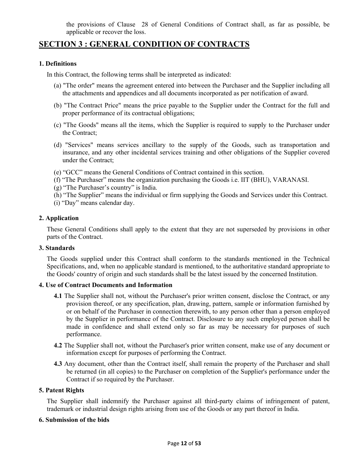the provisions of Clause 28 of General Conditions of Contract shall, as far as possible, be applicable or recover the loss.

# **SECTION 3 : GENERAL CONDITION OF CONTRACTS**

### **1. Definitions**

In this Contract, the following terms shall be interpreted as indicated:

- (a) "The order" means the agreement entered into between the Purchaser and the Supplier including all the attachments and appendices and all documents incorporated as per notification of award.
- (b) "The Contract Price" means the price payable to the Supplier under the Contract for the full and proper performance of its contractual obligations;
- (c) "The Goods" means all the items, which the Supplier is required to supply to the Purchaser under the Contract;
- (d) "Services" means services ancillary to the supply of the Goods, such as transportation and insurance, and any other incidental services training and other obligations of the Supplier covered under the Contract;
- (e) "GCC" means the General Conditions of Contract contained in this section.
- (f) "The Purchaser" means the organization purchasing the Goods i.e. IIT (BHU), VARANASI.
- (g) "The Purchaser's country" is India.
- (h) "The Supplier" means the individual or firm supplying the Goods and Services under this Contract.
- (i) "Day" means calendar day.

### **2. Application**

These General Conditions shall apply to the extent that they are not superseded by provisions in other parts of the Contract.

### **3. Standards**

The Goods supplied under this Contract shall conform to the standards mentioned in the Technical Specifications, and, when no applicable standard is mentioned, to the authoritative standard appropriate to the Goods' country of origin and such standards shall be the latest issued by the concerned Institution.

### **4. Use of Contract Documents and Information**

- **4.1** The Supplier shall not, without the Purchaser's prior written consent, disclose the Contract, or any provision thereof, or any specification, plan, drawing, pattern, sample or information furnished by or on behalf of the Purchaser in connection therewith, to any person other than a person employed by the Supplier in performance of the Contract. Disclosure to any such employed person shall be made in confidence and shall extend only so far as may be necessary for purposes of such performance.
- **4.2** The Supplier shall not, without the Purchaser's prior written consent, make use of any document or information except for purposes of performing the Contract.
- **4.3** Any document, other than the Contract itself, shall remain the property of the Purchaser and shall be returned (in all copies) to the Purchaser on completion of the Supplier's performance under the Contract if so required by the Purchaser.

### **5. Patent Rights**

The Supplier shall indemnify the Purchaser against all third-party claims of infringement of patent, trademark or industrial design rights arising from use of the Goods or any part thereof in India.

### **6. Submission of the bids**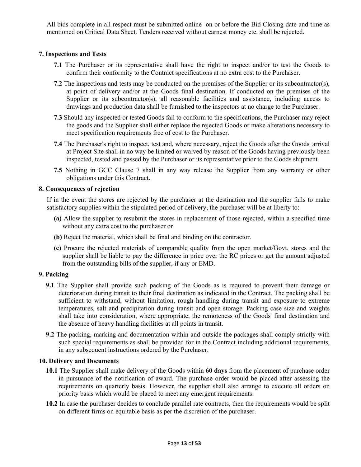All bids complete in all respect must be submitted online on or before the Bid Closing date and time as mentioned on Critical Data Sheet. Tenders received without earnest money etc. shall be rejected.

### **7. Inspections and Tests**

- **7.1** The Purchaser or its representative shall have the right to inspect and/or to test the Goods to confirm their conformity to the Contract specifications at no extra cost to the Purchaser.
- **7.2** The inspections and tests may be conducted on the premises of the Supplier or its subcontractor(s), at point of delivery and/or at the Goods final destination. If conducted on the premises of the Supplier or its subcontractor(s), all reasonable facilities and assistance, including access to drawings and production data shall be furnished to the inspectors at no charge to the Purchaser.
- **7.3** Should any inspected or tested Goods fail to conform to the specifications, the Purchaser may reject the goods and the Supplier shall either replace the rejected Goods or make alterations necessary to meet specification requirements free of cost to the Purchaser.
- **7.4** The Purchaser's right to inspect, test and, where necessary, reject the Goods after the Goods' arrival at Project Site shall in no way be limited or waived by reason of the Goods having previously been inspected, tested and passed by the Purchaser or its representative prior to the Goods shipment.
- **7.5** Nothing in GCC Clause 7 shall in any way release the Supplier from any warranty or other obligations under this Contract.

### **8. Consequences of rejection**

If in the event the stores are rejected by the purchaser at the destination and the supplier fails to make satisfactory supplies within the stipulated period of delivery, the purchaser will be at liberty to:

- **(a)** Allow the supplier to resubmit the stores in replacement of those rejected, within a specified time without any extra cost to the purchaser or
- **(b)** Reject the material, which shall be final and binding on the contractor.
- **(c)** Procure the rejected materials of comparable quality from the open market/Govt. stores and the supplier shall be liable to pay the difference in price over the RC prices or get the amount adjusted from the outstanding bills of the supplier, if any or EMD.

### **9. Packing**

- **9.1** The Supplier shall provide such packing of the Goods as is required to prevent their damage or deterioration during transit to their final destination as indicated in the Contract. The packing shall be sufficient to withstand, without limitation, rough handling during transit and exposure to extreme temperatures, salt and precipitation during transit and open storage. Packing case size and weights shall take into consideration, where appropriate, the remoteness of the Goods' final destination and the absence of heavy handling facilities at all points in transit.
- **9.2** The packing, marking and documentation within and outside the packages shall comply strictly with such special requirements as shall be provided for in the Contract including additional requirements, in any subsequent instructions ordered by the Purchaser.

### **10. Delivery and Documents**

- **10.1** The Supplier shall make delivery of the Goods within **60 days** from the placement of purchase order in pursuance of the notification of award. The purchase order would be placed after assessing the requirements on quarterly basis. However, the supplier shall also arrange to execute all orders on priority basis which would be placed to meet any emergent requirements.
- **10.2** In case the purchaser decides to conclude parallel rate contracts, then the requirements would be split on different firms on equitable basis as per the discretion of the purchaser.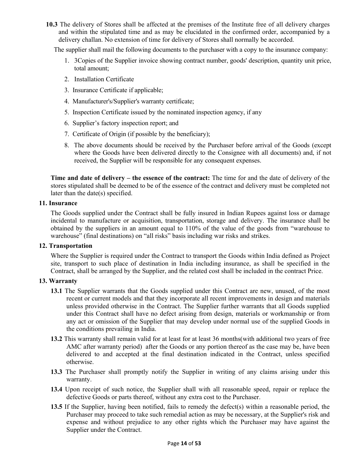**10.3** The delivery of Stores shall be affected at the premises of the Institute free of all delivery charges and within the stipulated time and as may be elucidated in the confirmed order, accompanied by a delivery challan. No extension of time for delivery of Stores shall normally be accorded.

The supplier shall mail the following documents to the purchaser with a copy to the insurance company:

- 1. 3Copies of the Supplier invoice showing contract number, goods' description, quantity unit price, total amount;
- 2. Installation Certificate
- 3. Insurance Certificate if applicable;
- 4. Manufacturer's/Supplier's warranty certificate;
- 5. Inspection Certificate issued by the nominated inspection agency, if any
- 6. Supplier's factory inspection report; and
- 7. Certificate of Origin (if possible by the beneficiary);
- 8. The above documents should be received by the Purchaser before arrival of the Goods (except where the Goods have been delivered directly to the Consignee with all documents) and, if not received, the Supplier will be responsible for any consequent expenses.

**Time and date of delivery – the essence of the contract:** The time for and the date of delivery of the stores stipulated shall be deemed to be of the essence of the contract and delivery must be completed not later than the date(s) specified.

### **11. Insurance**

The Goods supplied under the Contract shall be fully insured in Indian Rupees against loss or damage incidental to manufacture or acquisition, transportation, storage and delivery. The insurance shall be obtained by the suppliers in an amount equal to 110% of the value of the goods from "warehouse to warehouse" (final destinations) on "all risks" basis including war risks and strikes.

### **12. Transportation**

Where the Supplier is required under the Contract to transport the Goods within India defined as Project site, transport to such place of destination in India including insurance, as shall be specified in the Contract, shall be arranged by the Supplier, and the related cost shall be included in the contract Price.

### **13. Warranty**

- **13.1** The Supplier warrants that the Goods supplied under this Contract are new, unused, of the most recent or current models and that they incorporate all recent improvements in design and materials unless provided otherwise in the Contract. The Supplier further warrants that all Goods supplied under this Contract shall have no defect arising from design, materials or workmanship or from any act or omission of the Supplier that may develop under normal use of the supplied Goods in the conditions prevailing in India.
- **13.2** This warranty shall remain valid for at least for at least 36 months(with additional two years of free AMC after warranty period) after the Goods or any portion thereof as the case may be, have been delivered to and accepted at the final destination indicated in the Contract, unless specified otherwise.
- **13.3** The Purchaser shall promptly notify the Supplier in writing of any claims arising under this warranty.
- **13.4** Upon receipt of such notice, the Supplier shall with all reasonable speed, repair or replace the defective Goods or parts thereof, without any extra cost to the Purchaser.
- **13.5** If the Supplier, having been notified, fails to remedy the defect(s) within a reasonable period, the Purchaser may proceed to take such remedial action as may be necessary, at the Supplier's risk and expense and without prejudice to any other rights which the Purchaser may have against the Supplier under the Contract.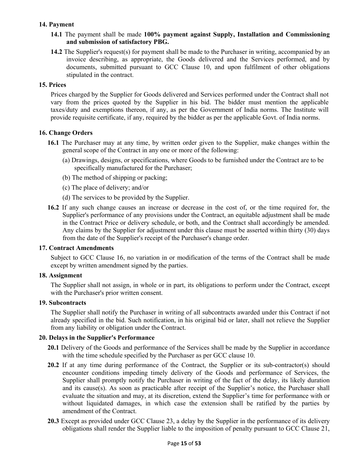### **14. Payment**

- **14.1** The payment shall be made **100% payment against Supply, Installation and Commissioning and submission of satisfactory PBG.**
- **14.2** The Supplier's request(s) for payment shall be made to the Purchaser in writing, accompanied by an invoice describing, as appropriate, the Goods delivered and the Services performed, and by documents, submitted pursuant to GCC Clause 10, and upon fulfilment of other obligations stipulated in the contract.

### **15. Prices**

Prices charged by the Supplier for Goods delivered and Services performed under the Contract shall not vary from the prices quoted by the Supplier in his bid. The bidder must mention the applicable taxes/duty and exemptions thereon, if any, as per the Government of India norms. The Institute will provide requisite certificate, if any, required by the bidder as per the applicable Govt. of India norms.

### **16. Change Orders**

- **16.1** The Purchaser may at any time, by written order given to the Supplier, make changes within the general scope of the Contract in any one or more of the following:
	- (a) Drawings, designs, or specifications, where Goods to be furnished under the Contract are to be specifically manufactured for the Purchaser;
	- (b) The method of shipping or packing;
	- (c) The place of delivery; and/or
	- (d) The services to be provided by the Supplier.
- **16.2** If any such change causes an increase or decrease in the cost of, or the time required for, the Supplier's performance of any provisions under the Contract, an equitable adjustment shall be made in the Contract Price or delivery schedule, or both, and the Contract shall accordingly be amended. Any claims by the Supplier for adjustment under this clause must be asserted within thirty (30) days from the date of the Supplier's receipt of the Purchaser's change order.

### **17. Contract Amendments**

Subject to GCC Clause 16, no variation in or modification of the terms of the Contract shall be made except by written amendment signed by the parties.

### **18. Assignment**

The Supplier shall not assign, in whole or in part, its obligations to perform under the Contract, except with the Purchaser's prior written consent.

### **19. Subcontracts**

The Supplier shall notify the Purchaser in writing of all subcontracts awarded under this Contract if not already specified in the bid. Such notification, in his original bid or later, shall not relieve the Supplier from any liability or obligation under the Contract.

### **20. Delays in the Supplier's Performance**

- **20.1** Delivery of the Goods and performance of the Services shall be made by the Supplier in accordance with the time schedule specified by the Purchaser as per GCC clause 10.
- **20.2** If at any time during performance of the Contract, the Supplier or its sub-contractor(s) should encounter conditions impeding timely delivery of the Goods and performance of Services, the Supplier shall promptly notify the Purchaser in writing of the fact of the delay, its likely duration and its cause(s). As soon as practicable after receipt of the Supplier's notice, the Purchaser shall evaluate the situation and may, at its discretion, extend the Supplier's time for performance with or without liquidated damages, in which case the extension shall be ratified by the parties by amendment of the Contract.
- **20.3** Except as provided under GCC Clause 23, a delay by the Supplier in the performance of its delivery obligations shall render the Supplier liable to the imposition of penalty pursuant to GCC Clause 21,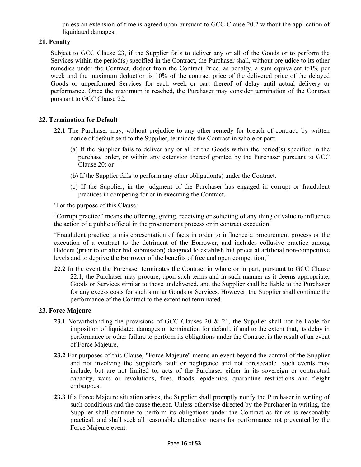unless an extension of time is agreed upon pursuant to GCC Clause 20.2 without the application of liquidated damages.

### **21. Penalty**

Subject to GCC Clause 23, if the Supplier fails to deliver any or all of the Goods or to perform the Services within the period(s) specified in the Contract, the Purchaser shall, without prejudice to its other remedies under the Contract, deduct from the Contract Price, as penalty, a sum equivalent to1% per week and the maximum deduction is 10% of the contract price of the delivered price of the delayed Goods or unperformed Services for each week or part thereof of delay until actual delivery or performance. Once the maximum is reached, the Purchaser may consider termination of the Contract pursuant to GCC Clause 22.

### **22. Termination for Default**

- **22.1** The Purchaser may, without prejudice to any other remedy for breach of contract, by written notice of default sent to the Supplier, terminate the Contract in whole or part:
	- (a) If the Supplier fails to deliver any or all of the Goods within the period(s) specified in the purchase order, or within any extension thereof granted by the Purchaser pursuant to GCC Clause 20; or
	- (b) If the Supplier fails to perform any other obligation(s) under the Contract.
	- (c) If the Supplier, in the judgment of the Purchaser has engaged in corrupt or fraudulent practices in competing for or in executing the Contract.

'For the purpose of this Clause:

"Corrupt practice" means the offering, giving, receiving or soliciting of any thing of value to influence the action of a public official in the procurement process or in contract execution.

"Fraudulent practice: a misrepresentation of facts in order to influence a procurement process or the execution of a contract to the detriment of the Borrower, and includes collusive practice among Bidders (prior to or after bid submission) designed to establish bid prices at artificial non-competitive levels and to deprive the Borrower of the benefits of free and open competition;"

**22.2** In the event the Purchaser terminates the Contract in whole or in part, pursuant to GCC Clause 22.1, the Purchaser may procure, upon such terms and in such manner as it deems appropriate, Goods or Services similar to those undelivered, and the Supplier shall be liable to the Purchaser for any excess costs for such similar Goods or Services. However, the Supplier shall continue the performance of the Contract to the extent not terminated.

### **23. Force Majeure**

- 23.1 Notwithstanding the provisions of GCC Clauses 20 & 21, the Supplier shall not be liable for imposition of liquidated damages or termination for default, if and to the extent that, its delay in performance or other failure to perform its obligations under the Contract is the result of an event of Force Majeure.
- **23.2** For purposes of this Clause, "Force Majeure" means an event beyond the control of the Supplier and not involving the Supplier's fault or negligence and not foreseeable. Such events may include, but are not limited to, acts of the Purchaser either in its sovereign or contractual capacity, wars or revolutions, fires, floods, epidemics, quarantine restrictions and freight embargoes.
- **23.3** If a Force Majeure situation arises, the Supplier shall promptly notify the Purchaser in writing of such conditions and the cause thereof. Unless otherwise directed by the Purchaser in writing, the Supplier shall continue to perform its obligations under the Contract as far as is reasonably practical, and shall seek all reasonable alternative means for performance not prevented by the Force Majeure event.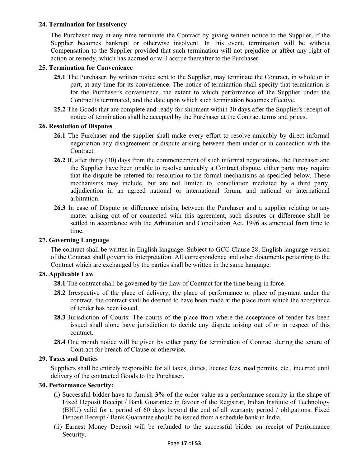### **24. Termination for Insolvency**

The Purchaser may at any time terminate the Contract by giving written notice to the Supplier, if the Supplier becomes bankrupt or otherwise insolvent. In this event, termination will be without Compensation to the Supplier provided that such termination will not prejudice or affect any right of action or remedy, which has accrued or will accrue thereafter to the Purchaser.

### **25. Termination for Convenience**

- **25.1** The Purchaser, by written notice sent to the Supplier, may terminate the Contract, in whole or in part, at any time for its convenience. The notice of termination shall specify that termination is for the Purchaser's convenience, the extent to which performance of the Supplier under the Contract is terminated, and the date upon which such termination becomes effective.
- **25.2** The Goods that are complete and ready for shipment within 30 days after the Supplier's receipt of notice of termination shall be accepted by the Purchaser at the Contract terms and prices.

### **26. Resolution of Disputes**

- **26.1** The Purchaser and the supplier shall make every effort to resolve amicably by direct informal negotiation any disagreement or dispute arising between them under or in connection with the Contract.
- **26.2** If, after thirty (30) days from the commencement of such informal negotiations, the Purchaser and the Supplier have been unable to resolve amicably a Contract dispute, either party may require that the dispute be referred for resolution to the formal mechanisms as specified below. These mechanisms may include, but are not limited to, conciliation mediated by a third party, adjudication in an agreed national or international forum, and national or international arbitration.
- **26.3** In case of Dispute or difference arising between the Purchaser and a supplier relating to any matter arising out of or connected with this agreement, such disputes or difference shall be settled in accordance with the Arbitration and Conciliation Act, 1996 as amended from time to time.

### **27. Governing Language**

The contract shall be written in English language. Subject to GCC Clause 28, English language version of the Contract shall govern its interpretation. All correspondence and other documents pertaining to the Contract which are exchanged by the parties shall be written in the same language.

### **28. Applicable Law**

- **28.1** The contract shall be governed by the Law of Contract for the time being in force.
- **28.2** Irrespective of the place of delivery, the place of performance or place of payment under the contract, the contract shall be deemed to have been made at the place from which the acceptance of tender has been issued.
- **28.3** Jurisdiction of Courts: The courts of the place from where the acceptance of tender has been issued shall alone have jurisdiction to decide any dispute arising out of or in respect of this contract.
- **28.4** One month notice will be given by either party for termination of Contract during the tenure of Contract for breach of Clause or otherwise.

### **29. Taxes and Duties**

Suppliers shall be entirely responsible for all taxes, duties, license fees, road permits, etc., incurred until delivery of the contracted Goods to the Purchaser.

### **30. Performance Security:**

- (i) Successful bidder have to furnish **3%** of the order value as a performance security in the shape of Fixed Deposit Receipt / Bank Guarantee in favour of the Registrar, Indian Institute of Technology (BHU) valid for a period of 60 days beyond the end of all warranty period / obligations. Fixed Deposit Receipt / Bank Guarantee should be issued from a schedule bank in India.
- (ii) Earnest Money Deposit will be refunded to the successful bidder on receipt of Performance Security.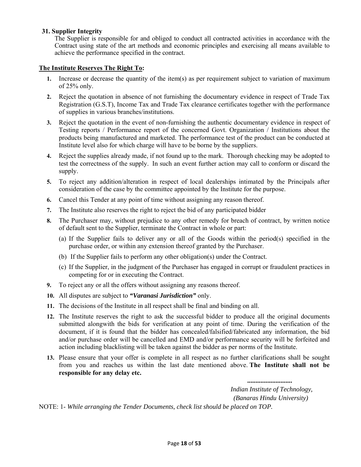### **31. Supplier Integrity**

The Supplier is responsible for and obliged to conduct all contracted activities in accordance with the Contract using state of the art methods and economic principles and exercising all means available to achieve the performance specified in the contract.

### **The Institute Reserves The Right To:**

- **1.** Increase or decrease the quantity of the item(s) as per requirement subject to variation of maximum of 25% only.
- **2.** Reject the quotation in absence of not furnishing the documentary evidence in respect of Trade Tax Registration (G.S.T), Income Tax and Trade Tax clearance certificates together with the performance of supplies in various branches/institutions.
- **3.** Reject the quotation in the event of non-furnishing the authentic documentary evidence in respect of Testing reports / Performance report of the concerned Govt. Organization / Institutions about the products being manufactured and marketed. The performance test of the product can be conducted at Institute level also for which charge will have to be borne by the suppliers.
- **4.** Reject the supplies already made, if not found up to the mark. Thorough checking may be adopted to test the correctness of the supply. In such an event further action may call to conform or discard the supply.
- **5.** To reject any addition/alteration in respect of local dealerships intimated by the Principals after consideration of the case by the committee appointed by the Institute for the purpose.
- **6.** Cancel this Tender at any point of time without assigning any reason thereof.
- **7.** The Institute also reserves the right to reject the bid of any participated bidder
- **8.** The Purchaser may, without prejudice to any other remedy for breach of contract, by written notice of default sent to the Supplier, terminate the Contract in whole or part:
	- (a) If the Supplier fails to deliver any or all of the Goods within the period(s) specified in the purchase order, or within any extension thereof granted by the Purchaser.
	- (b) If the Supplier fails to perform any other obligation(s) under the Contract.
	- (c) If the Supplier, in the judgment of the Purchaser has engaged in corrupt or fraudulent practices in competing for or in executing the Contract.
- **9.** To reject any or all the offers without assigning any reasons thereof.
- **10.** All disputes are subject to *"Varanasi Jurisdiction"* only.
- **11.** The decisions of the Institute in all respect shall be final and binding on all.
- **12.** The Institute reserves the right to ask the successful bidder to produce all the original documents submitted alongwith the bids for verification at any point of time. During the verification of the document, if it is found that the bidder has concealed/falsified/fabricated any information, the bid and/or purchase order will be cancelled and EMD and/or performance security will be forfeited and action including blacklisting will be taken against the bidder as per norms of the Institute.
- **13.** Please ensure that your offer is complete in all respect as no further clarifications shall be sought from you and reaches us within the last date mentioned above. **The Institute shall not be responsible for any delay etc.**

 *........................... Indian Institute of Technology, (Banaras Hindu University)*  NOTE: 1- *While arranging the Tender Documents, check list should be placed on TOP.*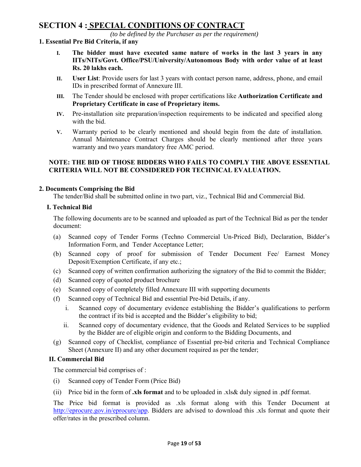# **SECTION 4 : SPECIAL CONDITIONS OF CONTRACT**

*(to be defined by the Purchaser as per the requirement)* 

### **1. Essential Pre Bid Criteria, if any**

- **I. The bidder must have executed same nature of works in the last 3 years in any IITs/NITs/Govt. Office/PSU/University/Autonomous Body with order value of at least Rs. 20 lakhs each.**
- **II. User List**: Provide users for last 3 years with contact person name, address, phone, and email IDs in prescribed format of Annexure III.
- **III.** The Tender should be enclosed with proper certifications like **Authorization Certificate and Proprietary Certificate in case of Proprietary items.**
- **IV.** Pre-installation site preparation/inspection requirements to be indicated and specified along with the bid.
- **V.** Warranty period to be clearly mentioned and should begin from the date of installation. Annual Maintenance Contract Charges should be clearly mentioned after three years warranty and two years mandatory free AMC period.

### **NOTE: THE BID OF THOSE BIDDERS WHO FAILS TO COMPLY THE ABOVE ESSENTIAL CRITERIA WILL NOT BE CONSIDERED FOR TECHNICAL EVALUATION.**

### **2. Documents Comprising the Bid**

The tender/Bid shall be submitted online in two part, viz., Technical Bid and Commercial Bid.

### **I. Technical Bid**

The following documents are to be scanned and uploaded as part of the Technical Bid as per the tender document:

- (a) Scanned copy of Tender Forms (Techno Commercial Un-Priced Bid), Declaration, Bidder's Information Form, and Tender Acceptance Letter;
- (b) Scanned copy of proof for submission of Tender Document Fee/ Earnest Money Deposit/Exemption Certificate, if any etc.;
- (c) Scanned copy of written confirmation authorizing the signatory of the Bid to commit the Bidder;
- (d) Scanned copy of quoted product brochure
- (e) Scanned copy of completely filled Annexure III with supporting documents
- (f) Scanned copy of Technical Bid and essential Pre-bid Details, if any.
	- i. Scanned copy of documentary evidence establishing the Bidder's qualifications to perform the contract if its bid is accepted and the Bidder's eligibility to bid;
	- ii. Scanned copy of documentary evidence, that the Goods and Related Services to be supplied by the Bidder are of eligible origin and conform to the Bidding Documents, and
- (g) Scanned copy of Checklist, compliance of Essential pre-bid criteria and Technical Compliance Sheet (Annexure II) and any other document required as per the tender;

### **II. Commercial Bid**

The commercial bid comprises of :

- (i) Scanned copy of Tender Form (Price Bid)
- (ii) Price bid in the form of **.xls format** and to be uploaded in .xls& duly signed in .pdf format.

The Price bid format is provided as .xls format along with this Tender Document at http://eprocure.gov.in/eprocure/app. Bidders are advised to download this .xls format and quote their offer/rates in the prescribed column.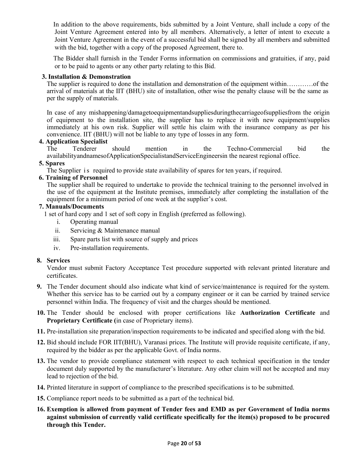In addition to the above requirements, bids submitted by a Joint Venture, shall include a copy of the Joint Venture Agreement entered into by all members. Alternatively, a letter of intent to execute a Joint Venture Agreement in the event of a successful bid shall be signed by all members and submitted with the bid, together with a copy of the proposed Agreement, there to.

The Bidder shall furnish in the Tender Forms information on commissions and gratuities, if any, paid or to be paid to agents or any other party relating to this Bid.

### **3. Installation & Demonstration**

The supplier is required to done the installation and demonstration of the equipment within…………of the arrival of materials at the IIT (BHU) site of installation, other wise the penalty clause will be the same as per the supply of materials.

In case of any mishappening/damagetoequipmentandsuppliesduringthecarriageofsuppliesfrom the origin of equipment to the installation site, the supplier has to replace it with new equipment/supplies immediately at his own risk. Supplier will settle his claim with the insurance company as per his convenience. IIT (BHU) will not be liable to any type of losses in any form.

### **4. Application Specialist**

The Tenderer should mention in the Techno-Commercial bid the availabilityandnamesofApplicationSpecialistandServiceEngineersin the nearest regional office.

### **5. Spares**

The Supplier is required to provide state availability of spares for ten years, if required.

### **6. Training of Personnel**

The supplier shall be required to undertake to provide the technical training to the personnel involved in the use of the equipment at the Institute premises, immediately after completing the installation of the equipment for a minimum period of one week at the supplier's cost.

### **7. Manuals/Documents**

1 set of hard copy and 1 set of soft copy in English (preferred as following).

- i. Operating manual
- ii. Servicing & Maintenance manual
- iii. Spare parts list with source of supply and prices
- iv. Pre-installation requirements.

### **8. Services**

Vendor must submit Factory Acceptance Test procedure supported with relevant printed literature and certificates.

- **9.** The Tender document should also indicate what kind of service/maintenance is required for the system. Whether this service has to be carried out by a company engineer or it can be carried by trained service personnel within India. The frequency of visit and the charges should be mentioned.
- **10.** The Tender should be enclosed with proper certifications like **Authorization Certificate** and **Proprietary Certificate (**in case of Proprietary items).
- **11.** Pre-installation site preparation/inspection requirements to be indicated and specified along with the bid.
- **12.** Bid should include FOR IIT(BHU), Varanasi prices. The Institute will provide requisite certificate, if any, required by the bidder as per the applicable Govt. of India norms.
- **13.** The vendor to provide compliance statement with respect to each technical specification in the tender document duly supported by the manufacturer's literature. Any other claim will not be accepted and may lead to rejection of the bid.
- **14.** Printed literature in support of compliance to the prescribed specifications is to be submitted.
- **15.** Compliance report needs to be submitted as a part of the technical bid.
- **16. Exemption is allowed from payment of Tender fees and EMD as per Government of India norms against submission of currently valid certificate specifically for the item(s) proposed to be procured through this Tender.**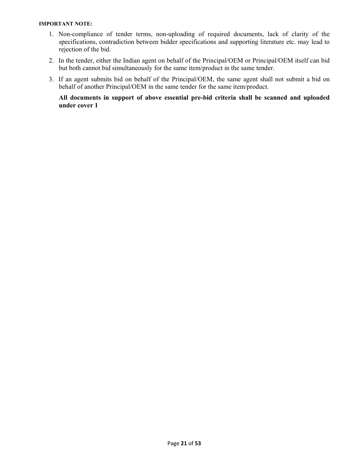### **IMPORTANT NOTE:**

- 1. Non-compliance of tender terms, non-uploading of required documents, lack of clarity of the specifications, contradiction between bidder specifications and supporting literature etc. may lead to rejection of the bid.
- 2. In the tender, either the Indian agent on behalf of the Principal/OEM or Principal/OEM itself can bid but both cannot bid simultaneously for the same item/product in the same tender.
- 3. If an agent submits bid on behalf of the Principal/OEM, the same agent shall not submit a bid on behalf of another Principal/OEM in the same tender for the same item/product.

**All documents in support of above essential pre-bid criteria shall be scanned and uploaded under cover 1**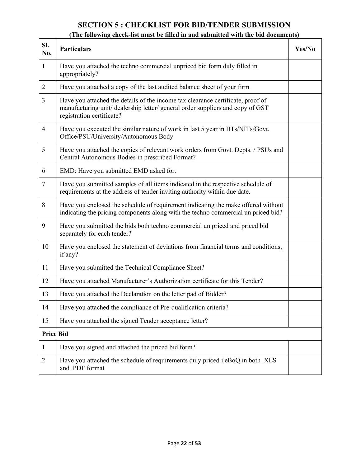# **SECTION 5 : CHECKLIST FOR BID/TENDER SUBMISSION**

# **(The following check-list must be filled in and submitted with the bid documents)**

| SI.<br>No.       | <b>Particulars</b>                                                                                                                                                                             | Yes/No |
|------------------|------------------------------------------------------------------------------------------------------------------------------------------------------------------------------------------------|--------|
| 1                | Have you attached the techno commercial unpriced bid form duly filled in<br>appropriately?                                                                                                     |        |
| $\overline{2}$   | Have you attached a copy of the last audited balance sheet of your firm                                                                                                                        |        |
| 3                | Have you attached the details of the income tax clearance certificate, proof of<br>manufacturing unit/ dealership letter/ general order suppliers and copy of GST<br>registration certificate? |        |
| $\overline{4}$   | Have you executed the similar nature of work in last 5 year in IITs/NITs/Govt.<br>Office/PSU/University/Autonomous Body                                                                        |        |
| 5                | Have you attached the copies of relevant work orders from Govt. Depts. / PSUs and<br>Central Autonomous Bodies in prescribed Format?                                                           |        |
| 6                | EMD: Have you submitted EMD asked for.                                                                                                                                                         |        |
| $\overline{7}$   | Have you submitted samples of all items indicated in the respective schedule of<br>requirements at the address of tender inviting authority within due date.                                   |        |
| 8                | Have you enclosed the schedule of requirement indicating the make offered without<br>indicating the pricing components along with the techno commercial un priced bid?                         |        |
| 9                | Have you submitted the bids both techno commercial un priced and priced bid<br>separately for each tender?                                                                                     |        |
| 10               | Have you enclosed the statement of deviations from financial terms and conditions,<br>if any?                                                                                                  |        |
| 11               | Have you submitted the Technical Compliance Sheet?                                                                                                                                             |        |
| 12               | Have you attached Manufacturer's Authorization certificate for this Tender?                                                                                                                    |        |
| 13               | Have you attached the Declaration on the letter pad of Bidder?                                                                                                                                 |        |
| 14               | Have you attached the compliance of Pre-qualification criteria?                                                                                                                                |        |
| 15               | Have you attached the signed Tender acceptance letter?                                                                                                                                         |        |
| <b>Price Bid</b> |                                                                                                                                                                                                |        |
| 1                | Have you signed and attached the priced bid form?                                                                                                                                              |        |
| $\overline{2}$   | Have you attached the schedule of requirements duly priced i.eBoQ in both .XLS<br>and .PDF format                                                                                              |        |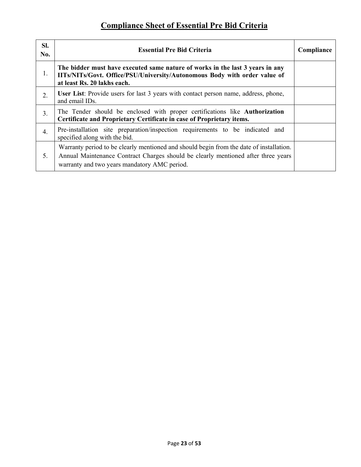| SI.<br>No.     | <b>Essential Pre Bid Criteria</b>                                                                                                                                                                                            | Compliance |
|----------------|------------------------------------------------------------------------------------------------------------------------------------------------------------------------------------------------------------------------------|------------|
| 1.             | The bidder must have executed same nature of works in the last 3 years in any<br>IITs/NITs/Govt. Office/PSU/University/Autonomous Body with order value of<br>at least Rs. 20 lakhs each.                                    |            |
| 2.             | <b>User List:</b> Provide users for last 3 years with contact person name, address, phone,<br>and email IDs.                                                                                                                 |            |
| 3 <sub>1</sub> | The Tender should be enclosed with proper certifications like <b>Authorization</b><br>Certificate and Proprietary Certificate in case of Proprietary items.                                                                  |            |
| 4.             | Pre-installation site preparation/inspection requirements to be indicated and<br>specified along with the bid.                                                                                                               |            |
| 5.             | Warranty period to be clearly mentioned and should begin from the date of installation.<br>Annual Maintenance Contract Charges should be clearly mentioned after three years<br>warranty and two years mandatory AMC period. |            |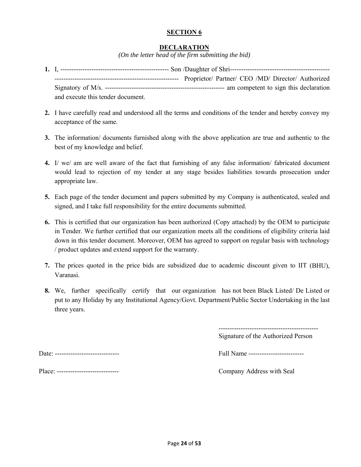### **SECTION 6**

### **DECLARATION**

*(On the letter head of the firm submitting the bid)*

- **1.** I, ------------------------------------------------- Son /Daughter of Shri--------------------------------------------- -------------------------------------------------------- Proprietor/ Partner/ CEO /MD/ Director/ Authorized Signatory of M/s. ------------------------------------------------------ am competent to sign this declaration and execute this tender document.
- **2.** I have carefully read and understood all the terms and conditions of the tender and hereby convey my acceptance of the same.
- **3.** The information/ documents furnished along with the above application are true and authentic to the best of my knowledge and belief.
- **4.** I/ we/ am are well aware of the fact that furnishing of any false information/ fabricated document would lead to rejection of my tender at any stage besides liabilities towards prosecution under appropriate law.
- **5.** Each page of the tender document and papers submitted by my Company is authenticated, sealed and signed, and I take full responsibility for the entire documents submitted.
- **6.** This is certified that our organization has been authorized (Copy attached) by the OEM to participate in Tender. We further certified that our organization meets all the conditions of eligibility criteria laid down in this tender document. Moreover, OEM has agreed to support on regular basis with technology / product updates and extend support for the warranty.
- **7.** The prices quoted in the price bids are subsidized due to academic discount given to IIT (BHU), Varanasi.
- **8.** We, further specifically certify that our organization has not been Black Listed/ De Listed or put to any Holiday by any Institutional Agency/Govt. Department/Public Sector Undertaking in the last three years.

Signature of the Authorized Person

Date: ----------------------------- Full Name -------------------------

Place: ---------------------------- Company Address with Seal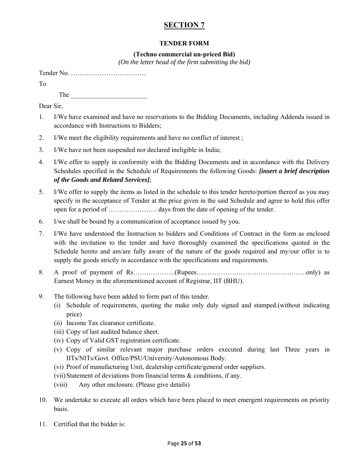# **SECTION 7**

### **TENDER FORM**

### **(Techno commercial un-priced Bid)**

*(On the letter head of the firm submitting the bid)* 

| To  |                                                                                                                                                                                                                                                                                                                                                                                                                                                                                                                                                                                                                                                                                                       |
|-----|-------------------------------------------------------------------------------------------------------------------------------------------------------------------------------------------------------------------------------------------------------------------------------------------------------------------------------------------------------------------------------------------------------------------------------------------------------------------------------------------------------------------------------------------------------------------------------------------------------------------------------------------------------------------------------------------------------|
|     | $The _______$                                                                                                                                                                                                                                                                                                                                                                                                                                                                                                                                                                                                                                                                                         |
|     | Dear Sir,                                                                                                                                                                                                                                                                                                                                                                                                                                                                                                                                                                                                                                                                                             |
| 1.  | I/We have examined and have no reservations to the Bidding Documents, including Addenda issued in<br>accordance with Instructions to Bidders;                                                                                                                                                                                                                                                                                                                                                                                                                                                                                                                                                         |
| 2.  | I/We meet the eligibility requirements and have no conflict of interest;                                                                                                                                                                                                                                                                                                                                                                                                                                                                                                                                                                                                                              |
| 3.  | I/We have not been suspended nor declared ineligible in India;                                                                                                                                                                                                                                                                                                                                                                                                                                                                                                                                                                                                                                        |
| 4.  | I/We offer to supply in conformity with the Bidding Documents and in accordance with the Delivery<br>Schedules specified in the Schedule of Requirements the following Goods: <i>[insert a brief description</i><br>of the Goods and Related Services];                                                                                                                                                                                                                                                                                                                                                                                                                                               |
| 5.  | I/We offer to supply the items as listed in the schedule to this tender hereto/portion thereof as you may<br>specify in the acceptance of Tender at the price given in the said Schedule and agree to hold this offer                                                                                                                                                                                                                                                                                                                                                                                                                                                                                 |
| 6.  | I/we shall be bound by a communication of acceptance issued by you.                                                                                                                                                                                                                                                                                                                                                                                                                                                                                                                                                                                                                                   |
| 7.  | I/We have understood the Instruction to bidders and Conditions of Contract in the form as enclosed<br>with the invitation to the tender and have thoroughly examined the specifications quoted in the<br>Schedule hereto and am/are fully aware of the nature of the goods required and my/our offer is to<br>supply the goods strictly in accordance with the specifications and requirements.                                                                                                                                                                                                                                                                                                       |
| 8.  | Earnest Money in the aforementioned account of Registrar, IIT (BHU).                                                                                                                                                                                                                                                                                                                                                                                                                                                                                                                                                                                                                                  |
| 9.  | The following have been added to form part of this tender.<br>Schedule of requirements, quoting the make only duly signed and stamped.(without indicating<br>(i)<br>price)<br>(ii) Income Tax clearance certificate.<br>(iii) Copy of last audited balance sheet.<br>(iv) Copy of Valid GST registration certificate.<br>(v) Copy of similar relevant major purchase orders executed during last Three years in<br>IITs/NITs/Govt. Office/PSU/University/Autonomous Body.<br>(vi) Proof of manufacturing Unit, dealership certificate/general order suppliers.<br>(vii) Statement of deviations from financial terms $\&$ conditions, if any.<br>Any other enclosure. (Please give details)<br>(viii) |
| 10. | We undertake to execute all orders which have been placed to meet emergent requirements on priority<br>basis.                                                                                                                                                                                                                                                                                                                                                                                                                                                                                                                                                                                         |

11. Certified that the bidder is: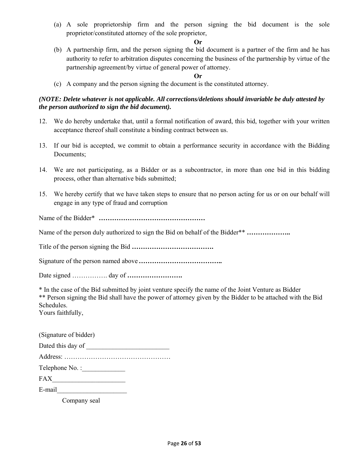(a) A sole proprietorship firm and the person signing the bid document is the sole proprietor/constituted attorney of the sole proprietor,

### **Or**

(b) A partnership firm, and the person signing the bid document is a partner of the firm and he has authority to refer to arbitration disputes concerning the business of the partnership by virtue of the partnership agreement/by virtue of general power of attorney.

### **Or**

(c) A company and the person signing the document is the constituted attorney.

### *(NOTE: Delete whatever is not applicable. All corrections/deletions should invariable be duly attested by the person authorized to sign the bid document).*

- 12. We do hereby undertake that, until a formal notification of award, this bid, together with your written acceptance thereof shall constitute a binding contract between us.
- 13. If our bid is accepted, we commit to obtain a performance security in accordance with the Bidding Documents;
- 14. We are not participating, as a Bidder or as a subcontractor, in more than one bid in this bidding process, other than alternative bids submitted;
- 15. We hereby certify that we have taken steps to ensure that no person acting for us or on our behalf will engage in any type of fraud and corruption

Name of the Bidder\* **…………………………………………**

Name of the person duly authorized to sign the Bid on behalf of the Bidder\*\* **………………..**

Title of the person signing the Bid **……………………………….**

Signature of the person named above **………………………………..**

Date signed ……………. day of **…………………….**

\* In the case of the Bid submitted by joint venture specify the name of the Joint Venture as Bidder \*\* Person signing the Bid shall have the power of attorney given by the Bidder to be attached with the Bid Schedules.

Yours faithfully,

| (Signature of bidder) |  |
|-----------------------|--|
| Dated this day of     |  |
|                       |  |
| Telephone No.:        |  |
| <b>FAX</b>            |  |
| E-mail                |  |

Company seal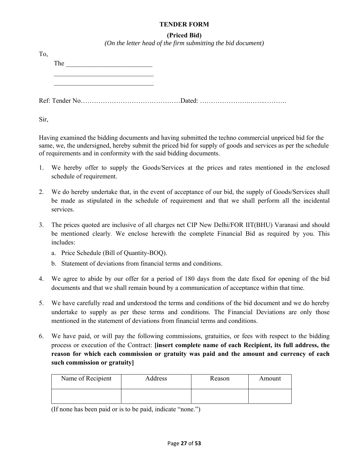### **TENDER FORM**

### **(Priced Bid)**

*(On the letter head of the firm submitting the bid document)* 

| T <sub>o</sub> |     |  |
|----------------|-----|--|
|                | The |  |
|                |     |  |
|                |     |  |
|                |     |  |
|                |     |  |

Sir,

Having examined the bidding documents and having submitted the techno commercial unpriced bid for the same, we, the undersigned, hereby submit the priced bid for supply of goods and services as per the schedule of requirements and in conformity with the said bidding documents.

- 1. We hereby offer to supply the Goods/Services at the prices and rates mentioned in the enclosed schedule of requirement.
- 2. We do hereby undertake that, in the event of acceptance of our bid, the supply of Goods/Services shall be made as stipulated in the schedule of requirement and that we shall perform all the incidental services.
- 3. The prices quoted are inclusive of all charges net CIP New Delhi/FOR IIT(BHU) Varanasi and should be mentioned clearly. We enclose herewith the complete Financial Bid as required by you. This includes:
	- a. Price Schedule (Bill of Quantity-BOQ).
	- b. Statement of deviations from financial terms and conditions.
- 4. We agree to abide by our offer for a period of 180 days from the date fixed for opening of the bid documents and that we shall remain bound by a communication of acceptance within that time.
- 5. We have carefully read and understood the terms and conditions of the bid document and we do hereby undertake to supply as per these terms and conditions. The Financial Deviations are only those mentioned in the statement of deviations from financial terms and conditions.
- 6. We have paid, or will pay the following commissions, gratuities, or fees with respect to the bidding process or execution of the Contract: **[insert complete name of each Recipient, its full address, the reason for which each commission or gratuity was paid and the amount and currency of each such commission or gratuity]**

| Name of Recipient | Address | Reason | Amount |
|-------------------|---------|--------|--------|
|                   |         |        |        |

(If none has been paid or is to be paid, indicate "none.")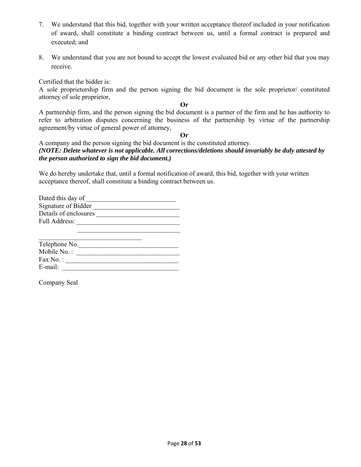- 7. We understand that this bid, together with your written acceptance thereof included in your notification of award, shall constitute a binding contract between us, until a formal contract is prepared and executed; and
- 8. We understand that you are not bound to accept the lowest evaluated bid or any other bid that you may receive.

Certified that the bidder is:

A sole proprietorship firm and the person signing the bid document is the sole proprietor/ constituted attorney of sole proprietor,

**Or** 

A partnership firm, and the person signing the bid document is a partner of the firm and he has authority to refer to arbitration disputes concerning the business of the partnership by virtue of the partnership agreement/by virtue of general power of attorney,

**Or** 

A company and the person signing the bid document is the constituted attorney. *(NOTE: Delete whatever is not applicable. All corrections/deletions should invariably be duly attested by the person authorized to sign the bid document.)* 

We do hereby undertake that, until a formal notification of award, this bid, together with your written acceptance thereof, shall constitute a binding contract between us.

| Dated this day of     |  |
|-----------------------|--|
| Signature of Bidder   |  |
| Details of enclosures |  |
| Full Address:         |  |
|                       |  |
|                       |  |

| Telephone No. |  |
|---------------|--|
| Mobile No.:   |  |
| Fax No.:      |  |
| E-mail:       |  |

Company Seal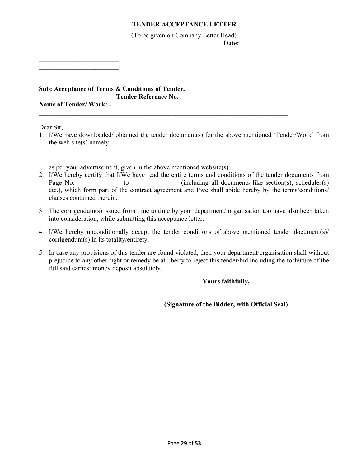### **TENDER ACCEPTANCE LETTER**

(To be given on Company Letter Head) **Date: Date:** 

 $\mathcal{L}_\text{max}$  , where  $\mathcal{L}_\text{max}$  $\mathcal{L}_\text{max}$  $\mathcal{L}_\text{max}$  , where  $\mathcal{L}_\text{max}$ 

**Sub: Acceptance of Terms & Conditions of Tender. Tender Reference No.\_\_\_\_\_\_\_\_\_\_\_\_\_\_\_\_\_\_\_\_\_\_ Name of Tender/ Work: -** 

Dear Sir,

1. I/We have downloaded/ obtained the tender document(s) for the above mentioned 'Tender/Work' from the web site(s) namely:

 $\mathcal{L}_\text{max}$ 

 $\mathcal{L}_\text{max} = \mathcal{L}_\text{max} = \mathcal{L}_\text{max} = \mathcal{L}_\text{max} = \mathcal{L}_\text{max} = \mathcal{L}_\text{max} = \mathcal{L}_\text{max} = \mathcal{L}_\text{max} = \mathcal{L}_\text{max} = \mathcal{L}_\text{max} = \mathcal{L}_\text{max} = \mathcal{L}_\text{max} = \mathcal{L}_\text{max} = \mathcal{L}_\text{max} = \mathcal{L}_\text{max} = \mathcal{L}_\text{max} = \mathcal{L}_\text{max} = \mathcal{L}_\text{max} = \mathcal{$ 

 $\mathcal{L}_\text{max} = \mathcal{L}_\text{max} = \mathcal{L}_\text{max} = \mathcal{L}_\text{max} = \mathcal{L}_\text{max} = \mathcal{L}_\text{max} = \mathcal{L}_\text{max} = \mathcal{L}_\text{max} = \mathcal{L}_\text{max} = \mathcal{L}_\text{max} = \mathcal{L}_\text{max} = \mathcal{L}_\text{max} = \mathcal{L}_\text{max} = \mathcal{L}_\text{max} = \mathcal{L}_\text{max} = \mathcal{L}_\text{max} = \mathcal{L}_\text{max} = \mathcal{L}_\text{max} = \mathcal{$  $\mathcal{L}_\text{max} = \mathcal{L}_\text{max} = \mathcal{L}_\text{max} = \mathcal{L}_\text{max} = \mathcal{L}_\text{max} = \mathcal{L}_\text{max} = \mathcal{L}_\text{max} = \mathcal{L}_\text{max} = \mathcal{L}_\text{max} = \mathcal{L}_\text{max} = \mathcal{L}_\text{max} = \mathcal{L}_\text{max} = \mathcal{L}_\text{max} = \mathcal{L}_\text{max} = \mathcal{L}_\text{max} = \mathcal{L}_\text{max} = \mathcal{L}_\text{max} = \mathcal{L}_\text{max} = \mathcal{$ 

as per your advertisement, given in the above mentioned website(s).

- 2. I/We hereby certify that I/We have read the entire terms and conditions of the tender documents from Page No. \_\_\_\_\_\_\_\_\_\_\_\_\_\_ to \_\_\_\_\_\_\_\_\_\_\_\_\_ (including all documents like section(s), schedules(s) etc.), which form part of the contract agreement and I/we shall abide hereby by the terms/conditions/ clauses contained therein.
- 3. The corrigendum(s) issued from time to time by your department/ organisation too have also been taken into consideration, while submitting this acceptance letter.
- 4. I/We hereby unconditionally accept the tender conditions of above mentioned tender document(s)/ corrigendum(s) in its totality/entirety.
- 5. In case any provisions of this tender are found violated, then your department/organisation shall without prejudice to any other right or remedy be at liberty to reject this tender/bid including the forfeiture of the full said earnest money deposit absolutely.

### **Yours faithfully,**

 **(Signature of the Bidder, with Official Seal)**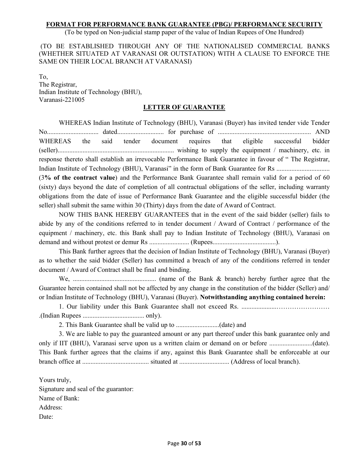### **FORMAT FOR PERFORMANCE BANK GUARANTEE (PBG)/ PERFORMANCE SECURITY**

(To be typed on Non-judicial stamp paper of the value of Indian Rupees of One Hundred)

 (TO BE ESTABLISHED THROUGH ANY OF THE NATIONALISED COMMERCIAL BANKS (WHETHER SITUATED AT VARANASI OR OUTSTATION) WITH A CLAUSE TO ENFORCE THE SAME ON THEIR LOCAL BRANCH AT VARANASI)

To, The Registrar, Indian Institute of Technology (BHU), Varanasi-221005

### **LETTER OF GUARANTEE**

WHEREAS Indian Institute of Technology (BHU), Varanasi (Buyer) has invited tender vide Tender No............................... dated............................ for purchase of ........................................................ AND WHEREAS the said tender document requires that eligible successful bidder (seller)...................................................................... wishing to supply the equipment / machinery, etc. in response thereto shall establish an irrevocable Performance Bank Guarantee in favour of " The Registrar, Indian Institute of Technology (BHU), Varanasi" in the form of Bank Guarantee for Rs ................................ (3**% of the contract value**) and the Performance Bank Guarantee shall remain valid for a period of 60 (sixty) days beyond the date of completion of all contractual obligations of the seller, including warranty obligations from the date of issue of Performance Bank Guarantee and the eligible successful bidder (the seller) shall submit the same within 30 (Thirty) days from the date of Award of Contract.

NOW THIS BANK HEREBY GUARANTEES that in the event of the said bidder (seller) fails to abide by any of the conditions referred to in tender document / Award of Contract / performance of the equipment / machinery, etc. this Bank shall pay to Indian Institute of Technology (BHU), Varanasi on demand and without protest or demur Rs ........................ (Rupees......................................).

This Bank further agrees that the decision of Indian Institute of Technology (BHU), Varanasi (Buyer) as to whether the said bidder (Seller) has committed a breach of any of the conditions referred in tender document / Award of Contract shall be final and binding.

We, .................................................. (name of the Bank & branch) hereby further agree that the Guarantee herein contained shall not be affected by any change in the constitution of the bidder (Seller) and/ or Indian Institute of Technology (BHU), Varanasi (Buyer). **Notwithstanding anything contained herein:**

1. Our liability under this Bank Guarantee shall not exceed Rs. .....................…………………… .(Indian Rupees ..................................... only).

2. This Bank Guarantee shall be valid up to ..........................(date) and

3. We are liable to pay the guaranteed amount or any part thereof under this bank guarantee only and only if IIT (BHU), Varanasi serve upon us a written claim or demand on or before ..........................(date). This Bank further agrees that the claims if any, against this Bank Guarantee shall be enforceable at our branch office at ........................................ situated at .............................. (Address of local branch).

Yours truly, Signature and seal of the guarantor: Name of Bank: Address: Date: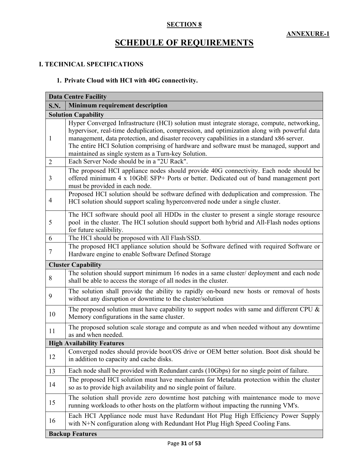# **SECTION 8**

# **SCHEDULE OF REQUIREMENTS**

### **I. TECHNICAL SPECIFICATIONS**

### **1. Private Cloud with HCI with 40G connectivity.**

| <b>Data Centre Facility</b> |                                                                                                                                                                                                                                                                                                                                                                                                                                           |  |
|-----------------------------|-------------------------------------------------------------------------------------------------------------------------------------------------------------------------------------------------------------------------------------------------------------------------------------------------------------------------------------------------------------------------------------------------------------------------------------------|--|
| S.N.                        | Minimum requirement description                                                                                                                                                                                                                                                                                                                                                                                                           |  |
| <b>Solution Capability</b>  |                                                                                                                                                                                                                                                                                                                                                                                                                                           |  |
| $\mathbf{1}$                | Hyper Converged Infrastructure (HCI) solution must integrate storage, compute, networking,<br>hypervisor, real-time deduplication, compression, and optimization along with powerful data<br>management, data protection, and disaster recovery capabilities in a standard x86 server.<br>The entire HCI Solution comprising of hardware and software must be managed, support and<br>maintained as single system as a Turn-key Solution. |  |
| $\overline{2}$              | Each Server Node should be in a "2U Rack".                                                                                                                                                                                                                                                                                                                                                                                                |  |
| 3                           | The proposed HCI appliance nodes should provide 40G connectivity. Each node should be<br>offered minimum 4 x 10GbE SFP+ Ports or better. Dedicated out of band management port<br>must be provided in each node.                                                                                                                                                                                                                          |  |
| $\overline{4}$              | Proposed HCI solution should be software defined with deduplication and compression. The<br>HCI solution should support scaling hyperconvered node under a single cluster.                                                                                                                                                                                                                                                                |  |
| 5                           | The HCI software should pool all HDDs in the cluster to present a single storage resource<br>pool in the cluster. The HCI solution should support both hybrid and All-Flash nodes options<br>for future scalibility.                                                                                                                                                                                                                      |  |
| 6                           | The HCI should be proposed with All Flash/SSD.                                                                                                                                                                                                                                                                                                                                                                                            |  |
| 7                           | The proposed HCI appliance solution should be Software defined with required Software or<br>Hardware engine to enable Software Defined Storage                                                                                                                                                                                                                                                                                            |  |
|                             | <b>Cluster Capability</b>                                                                                                                                                                                                                                                                                                                                                                                                                 |  |
| 8                           | The solution should support minimum 16 nodes in a same cluster/deployment and each node<br>shall be able to access the storage of all nodes in the cluster.                                                                                                                                                                                                                                                                               |  |
| 9                           | The solution shall provide the ability to rapidly on-board new hosts or removal of hosts<br>without any disruption or downtime to the cluster/solution                                                                                                                                                                                                                                                                                    |  |
| 10                          | The proposed solution must have capability to support nodes with same and different CPU $\&$<br>Memory configurations in the same cluster.                                                                                                                                                                                                                                                                                                |  |
| 11                          | The proposed solution scale storage and compute as and when needed without any downtime<br>as and when needed.                                                                                                                                                                                                                                                                                                                            |  |
|                             | <b>High Availability Features</b>                                                                                                                                                                                                                                                                                                                                                                                                         |  |
| 12                          | Converged nodes should provide boot/OS drive or OEM better solution. Boot disk should be<br>in addition to capacity and cache disks.                                                                                                                                                                                                                                                                                                      |  |
| 13                          | Each node shall be provided with Redundant cards (10Gbps) for no single point of failure.                                                                                                                                                                                                                                                                                                                                                 |  |
| 14                          | The proposed HCI solution must have mechanism for Metadata protection within the cluster<br>so as to provide high availability and no single point of failure.                                                                                                                                                                                                                                                                            |  |
| 15                          | The solution shall provide zero downtime host patching with maintenance mode to move<br>running workloads to other hosts on the platform without impacting the running VM's.                                                                                                                                                                                                                                                              |  |
| 16                          | Each HCI Appliance node must have Redundant Hot Plug High Efficiency Power Supply<br>with N+N configuration along with Redundant Hot Plug High Speed Cooling Fans.                                                                                                                                                                                                                                                                        |  |
|                             | <b>Backup Features</b>                                                                                                                                                                                                                                                                                                                                                                                                                    |  |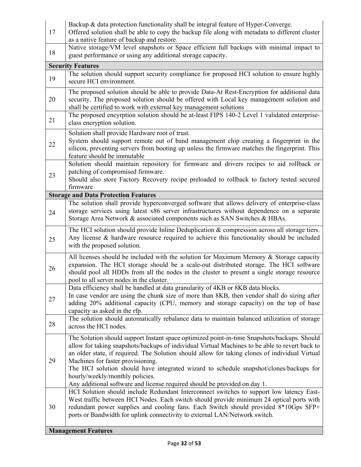| 17 | Backup & data protection functionality shall be integral feature of Hyper-Converge.<br>Offered solution shall be able to copy the backup file along with metadata to different cluster                                                                                                                                                                                                                                                                                                                                                         |
|----|------------------------------------------------------------------------------------------------------------------------------------------------------------------------------------------------------------------------------------------------------------------------------------------------------------------------------------------------------------------------------------------------------------------------------------------------------------------------------------------------------------------------------------------------|
| 18 | as a native feature of backup and restore.<br>Native storage/VM level snapshots or Space efficient full backups with minimal impact to<br>guest performance or using any additional storage capacity.                                                                                                                                                                                                                                                                                                                                          |
|    | <b>Security Features</b>                                                                                                                                                                                                                                                                                                                                                                                                                                                                                                                       |
| 19 | The solution should support security compliance for proposed HCI solution to ensure highly<br>secure HCI environment.                                                                                                                                                                                                                                                                                                                                                                                                                          |
| 20 | The proposed solution should be able to provide Data-At Rest-Encryption for additional data<br>security. The proposed solution should be offered with Local key management solution and<br>shall be certified to work with external key management solutions                                                                                                                                                                                                                                                                                   |
| 21 | The proposed encyrption solution should be at-least FIPS 140-2 Level 1 validated enterprise-<br>class encryption solution.                                                                                                                                                                                                                                                                                                                                                                                                                     |
| 22 | Solution shall provide Hardware root of trust.<br>System should support remote out of band management chip creating a fingerprint in the<br>silicon, preventing servers from booting up unless the firmware matches the fingerprint. This<br>feature should be immutable                                                                                                                                                                                                                                                                       |
| 23 | Solution should maintain repository for firmware and drivers recipes to aid rollback or<br>patching of compromised firmware.<br>Should also store Factory Recovery recipe preloaded to rollback to factory tested secured<br>firmware                                                                                                                                                                                                                                                                                                          |
|    | <b>Storage and Data Protection Features</b>                                                                                                                                                                                                                                                                                                                                                                                                                                                                                                    |
| 24 | The solution shall provide hyperconverged software that allows delivery of enterprise-class<br>storage services using latest x86 server infrastructures without dependence on a separate<br>Storage Area Network & associated components such as SAN Switches & HBAs.                                                                                                                                                                                                                                                                          |
| 25 | The HCI solution should provide Inline Deduplication & compression across all storage tiers.<br>Any license $\&$ hardware resource required to achieve this functionality should be included<br>with the proposed solution.                                                                                                                                                                                                                                                                                                                    |
| 26 | All licenses should be included with the solution for Maximum Memory $\&$ Storage capacity<br>expansion. The HCI storage should be a scale-out distributed storage. The HCI software<br>should pool all HDDs from all the nodes in the cluster to present a single storage resource<br>pool to all server nodes in the cluster.                                                                                                                                                                                                                |
| 27 | Data efficiency shall be handled at data granularity of 4KB or 8KB data blocks.<br>In case vendor are using the chunk size of more than 8KB, then vendor shall do sizing after<br>adding 20% additional capacity (CPU, memory and storage capacity) on the top of base<br>capacity as asked in the rfp.                                                                                                                                                                                                                                        |
| 28 | The solution should automatically rebalance data to maintain balanced utilization of storage<br>across the HCI nodes.                                                                                                                                                                                                                                                                                                                                                                                                                          |
| 29 | The Solution should support Instant space optimized point-in-time Snapshots/backups. Should<br>allow for taking snapshots/backups of individual Virtual Machines to be able to revert back to<br>an older state, if required. The Solution should allow for taking clones of individual Virtual<br>Machines for faster provisioning.<br>The HCI solution should have integrated wizard to schedule snapshot/clones/backups for<br>hourly/weekly/monthly policies.<br>Any additional software and license required should be provided on day 1. |
| 30 | HCI Solution should include Redundant Interconnect switches to support low latency East-<br>West traffic between HCI Nodes. Each switch should provide minimum 24 optical ports with<br>redundant power supplies and cooling fans. Each Switch should provided 8*10Gps SFP+<br>ports or Bandwidth for uplink connectivity to external LAN/Network switch.                                                                                                                                                                                      |
|    | <b>Management Features</b>                                                                                                                                                                                                                                                                                                                                                                                                                                                                                                                     |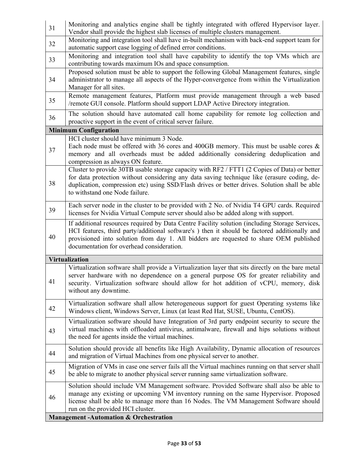| 31 | Monitoring and analytics engine shall be tightly integrated with offered Hypervisor layer.<br>Vendor shall provide the highest slab licenses of multiple clusters management.                                                                                                                                                          |
|----|----------------------------------------------------------------------------------------------------------------------------------------------------------------------------------------------------------------------------------------------------------------------------------------------------------------------------------------|
| 32 | Monitoring and integration tool shall have in-built mechanism with back-end support team for<br>automatic support case logging of defined error conditions.                                                                                                                                                                            |
| 33 | Monitoring and integration tool shall have capability to identify the top VMs which are<br>contributing towards maximum IOs and space consumption.                                                                                                                                                                                     |
| 34 | Proposed solution must be able to support the following Global Management features, single<br>administrator to manage all aspects of the Hyper-convergence from within the Virtualization<br>Manager for all sites.                                                                                                                    |
| 35 | Remote management features, Platform must provide management through a web based<br>/remote GUI console. Platform should support LDAP Active Directory integration.                                                                                                                                                                    |
| 36 | The solution should have automated call home capability for remote log collection and<br>proactive support in the event of critical server failure.                                                                                                                                                                                    |
|    | <b>Minimum Configuration</b>                                                                                                                                                                                                                                                                                                           |
| 37 | HCI cluster should have minimum 3 Node.<br>Each node must be offered with 36 cores and 400GB memory. This must be usable cores $\&$<br>memory and all overheads must be added additionally considering deduplication and<br>compression as always ON feature.                                                                          |
| 38 | Cluster to provide 30TB usable storage capacity with RF2 / FTT1 (2 Copies of Data) or better<br>for data protection without considering any data saving technique like (erasure coding, de-<br>duplication, compression etc) using SSD/Flash drives or better drives. Solution shall be able<br>to withstand one Node failure.         |
| 39 | Each server node in the cluster to be provided with 2 No. of Nvidia T4 GPU cards. Required<br>licenses for Nvidia Virtual Compute server should also be added along with support.                                                                                                                                                      |
| 40 | If additional resources required by Data Centre Facility solution (including Storage Services,<br>HCI features, third party/additional software's ) then it should be factored additionally and<br>provisioned into solution from day 1. All bidders are requested to share OEM published<br>documentation for overhead consideration. |
|    | <b>Virtualization</b>                                                                                                                                                                                                                                                                                                                  |
| 41 | Virtualization software shall provide a Virtualization layer that sits directly on the bare metal<br>server hardware with no dependence on a general purpose OS for greater reliability and<br>security. Virtualization software should allow for hot addition of vCPU, memory, disk<br>without any downtime.                          |
| 42 | Virtualization software shall allow heterogeneous support for guest Operating systems like<br>Windows client, Windows Server, Linux (at least Red Hat, SUSE, Ubuntu, CentOS).                                                                                                                                                          |
| 43 | Virtualization software should have Integration of 3rd party endpoint security to secure the<br>virtual machines with offloaded antivirus, antimalware, firewall and hips solutions without<br>the need for agents inside the virtual machines.                                                                                        |
| 44 | Solution should provide all benefits like High Availability, Dynamic allocation of resources<br>and migration of Virtual Machines from one physical server to another.                                                                                                                                                                 |
| 45 | Migration of VMs in case one server fails all the Virtual machines running on that server shall<br>be able to migrate to another physical server running same virtualization software.                                                                                                                                                 |
| 46 | Solution should include VM Management software. Provided Software shall also be able to<br>manage any existing or upcoming VM inventory running on the same Hypervisor. Proposed<br>license shall be able to manage more than 16 Nodes. The VM Management Software should<br>run on the provided HCI cluster.                          |
|    | <b>Management-Automation &amp; Orchestration</b>                                                                                                                                                                                                                                                                                       |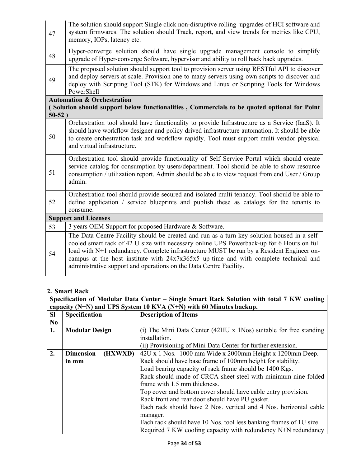| 47       | The solution should support Single click non-disruptive rolling upgrades of HCI software and<br>system firmwares. The solution should Track, report, and view trends for metrics like CPU,<br>memory, IOPs, latency etc.                                                                                                                                                                                                                           |
|----------|----------------------------------------------------------------------------------------------------------------------------------------------------------------------------------------------------------------------------------------------------------------------------------------------------------------------------------------------------------------------------------------------------------------------------------------------------|
| 48       | Hyper-converge solution should have single upgrade management console to simplify<br>upgrade of Hyper-converge Software, hypervisor and ability to roll back back upgrades.                                                                                                                                                                                                                                                                        |
| 49       | The proposed solution should support tool to provision server using RESTful API to discover<br>and deploy servers at scale. Provision one to many servers using own scripts to discover and<br>deploy with Scripting Tool (STK) for Windows and Linux or Scripting Tools for Windows<br>PowerShell                                                                                                                                                 |
|          | <b>Automation &amp; Orchestration</b>                                                                                                                                                                                                                                                                                                                                                                                                              |
|          | (Solution should support below functionalities, Commercials to be quoted optional for Point                                                                                                                                                                                                                                                                                                                                                        |
| $50-52)$ |                                                                                                                                                                                                                                                                                                                                                                                                                                                    |
| 50       | Orchestration tool should have functionality to provide Infrastructure as a Service (IaaS). It<br>should have workflow designer and policy drived infrastructure automation. It should be able<br>to create orchestration task and workflow rapidly. Tool must support multi vendor physical<br>and virtual infrastructure.                                                                                                                        |
| 51       | Orchestration tool should provide functionality of Self Service Portal which should create<br>service catalog for consumption by users/department. Tool should be able to show resource<br>consumption / utilization report. Admin should be able to view request from end User / Group<br>admin.                                                                                                                                                  |
| 52       | Orchestration tool should provide secured and isolated multi tenancy. Tool should be able to<br>define application $\prime$ service blueprints and publish these as catalogs for the tenants to<br>consume.                                                                                                                                                                                                                                        |
|          | <b>Support and Licenses</b>                                                                                                                                                                                                                                                                                                                                                                                                                        |
| 53       | 3 years OEM Support for proposed Hardware & Software.                                                                                                                                                                                                                                                                                                                                                                                              |
| 54       | The Data Centre Facility should be created and run as a turn-key solution housed in a self-<br>cooled smart rack of 42 U size with necessary online UPS Powerback-up for 6 Hours on full<br>load with N+1 redundancy. Complete infrastructure MUST be run by a Resident Engineer on-<br>campus at the host institute with 24x7x365x5 up-time and with complete technical and<br>administrative support and operations on the Data Centre Facility. |

### **2. Smart Rack**

**Specification of Modular Data Center – Single Smart Rack Solution with total 7 KW cooling capacity (N+N) and UPS System 10 KVA (N+N) with 60 Minutes backup.** 

|                | Capacity ( $N+1$ ) and $U \cap S$ system TV $N \setminus A$ ( $N+1$ ) with 00 minutes dackup. |                                                                    |  |
|----------------|-----------------------------------------------------------------------------------------------|--------------------------------------------------------------------|--|
| <b>SI</b>      | Specification                                                                                 | <b>Description of Items</b>                                        |  |
| N <sub>0</sub> |                                                                                               |                                                                    |  |
| 1.             | <b>Modular Design</b>                                                                         | (i) The Mini Data Center (42HU x 1Nos) suitable for free standing  |  |
|                |                                                                                               | installation.                                                      |  |
|                |                                                                                               | (ii) Provisioning of Mini Data Center for further extension.       |  |
| 2.             | (HXWXD)<br><b>Dimension</b>                                                                   | 42U x 1 Nos. - 1000 mm Wide x 2000mm Height x 1200mm Deep.         |  |
|                | in mm                                                                                         | Rack should have base frame of 100mm height for stability.         |  |
|                |                                                                                               | Load bearing capacity of rack frame should be 1400 Kgs.            |  |
|                |                                                                                               | Rack should made of CRCA sheet steel with minimum nine folded      |  |
|                |                                                                                               | frame with 1.5 mm thickness.                                       |  |
|                |                                                                                               | Top cover and bottom cover should have cable entry provision.      |  |
|                |                                                                                               | Rack front and rear door should have PU gasket.                    |  |
|                |                                                                                               | Each rack should have 2 Nos. vertical and 4 Nos. horizontal cable  |  |
|                |                                                                                               | manager.                                                           |  |
|                |                                                                                               | Each rack should have 10 Nos. tool less banking frames of 1U size. |  |
|                |                                                                                               | Required 7 KW cooling capacity with redundancy N+N redundancy      |  |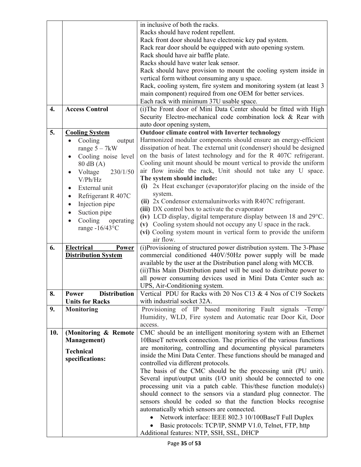|     |                                   | in inclusive of both the racks.                                                           |  |  |
|-----|-----------------------------------|-------------------------------------------------------------------------------------------|--|--|
|     |                                   | Racks should have rodent repellent.                                                       |  |  |
|     |                                   | Rack front door should have electronic key pad system.                                    |  |  |
|     |                                   | Rack rear door should be equipped with auto opening system.                               |  |  |
|     |                                   | Rack should have air baffle plate.                                                        |  |  |
|     |                                   | Racks should have water leak sensor.                                                      |  |  |
|     |                                   | Rack should have provision to mount the cooling system inside in                          |  |  |
|     |                                   | vertical form without consuming any u space.                                              |  |  |
|     |                                   | Rack, cooling system, fire system and monitoring system (at least 3                       |  |  |
|     |                                   | main component) required from one OEM for better services.                                |  |  |
|     |                                   | Each rack with minimum 37U usable space.                                                  |  |  |
| 4.  | <b>Access Control</b>             | (i) The Front door of Mini Data Center should be fitted with High                         |  |  |
|     |                                   | Security Electro-mechanical code combination lock & Rear with                             |  |  |
|     |                                   | auto door opening system,                                                                 |  |  |
| 5.  | <b>Cooling System</b>             | Outdoor climate control with Inverter technology                                          |  |  |
|     | Cooling<br>output                 | Harmonized modular components should ensure an energy-efficient                           |  |  |
|     | range $5 - 7$ kW                  | dissipation of heat. The external unit (condenser) should be designed                     |  |  |
|     | Cooling noise level               | on the basis of latest technology and for the R 407C refrigerant.                         |  |  |
|     | 80 dB (A)                         | Cooling unit mount should be mount vertical to provide the uniform                        |  |  |
|     | 230/1/50<br>Voltage<br>$\bullet$  | air flow inside the rack, Unit should not take any U space.<br>The system should include: |  |  |
|     | V/Ph/Hz                           | (i) 2x Heat exchanger (evaporator) for placing on the inside of the                       |  |  |
|     | External unit<br>$\bullet$        | system.                                                                                   |  |  |
|     | Refrigerant R 407C<br>$\bullet$   | (ii) 2x Condensor external unit works with R407C refrigerant.                             |  |  |
|     | Injection pipe<br>$\bullet$       | (iii) DX control box to activate the evaporator                                           |  |  |
|     | Suction pipe<br>$\bullet$         | (iv) LCD display, digital temperature display between 18 and 29°C.                        |  |  |
|     | Cooling<br>operating<br>$\bullet$ | (v) Cooling system should not occupy any U space in the rack.                             |  |  |
|     | range $-16/43$ °C                 | (vi) Cooling system mount in vertical form to provide the uniform                         |  |  |
|     |                                   | air flow.                                                                                 |  |  |
| 6.  | Electrical<br>Power               | (i)Provisioning of structured power distribution system. The 3-Phase                      |  |  |
|     | <b>Distribution System</b>        | commercial conditioned 440V/50Hz power supply will be made                                |  |  |
|     |                                   | available by the user at the Distribution panel along with MCCB.                          |  |  |
|     |                                   | (ii) This Main Distribution panel will be used to distribute power to                     |  |  |
|     |                                   | all power consuming devices used in Mini Data Center such as:                             |  |  |
|     |                                   | UPS, Air-Conditioning system.                                                             |  |  |
| 8.  | <b>Distribution</b><br>Power      | Vertical PDU for Racks with 20 Nos C13 & 4 Nos of C19 Sockets                             |  |  |
|     | <b>Units for Racks</b>            | with industrial socket 32A.                                                               |  |  |
| 9.  | <b>Monitoring</b>                 | Provisioning of IP based monitoring Fault signals -Temp/                                  |  |  |
|     |                                   | Humidity, WLD, Fire system and Automatic rear Door Kit, Door                              |  |  |
|     |                                   | access.                                                                                   |  |  |
| 10. | (Monitoring & Remote              | CMC should be an intelligent monitoring system with an Ethernet                           |  |  |
|     | <b>Management</b> )               | 10BaseT network connection. The priorities of the various functions                       |  |  |
|     | <b>Technical</b>                  | are monitoring, controlling and documenting physical parameters                           |  |  |
|     | specifications:                   | inside the Mini Data Center. These functions should be managed and                        |  |  |
|     |                                   | controlled via different protocols.                                                       |  |  |
|     |                                   | The basis of the CMC should be the processing unit (PU unit).                             |  |  |
|     |                                   | Several input/output units (I/O unit) should be connected to one                          |  |  |
|     |                                   | processing unit via a patch cable. This/these function module(s)                          |  |  |
|     |                                   | should connect to the sensors via a standard plug connector. The                          |  |  |
|     |                                   | sensors should be coded so that the function blocks recognise                             |  |  |
|     |                                   | automatically which sensors are connected.                                                |  |  |
|     |                                   | Network interface: IEEE 802.3 10/100BaseT Full Duplex                                     |  |  |
|     |                                   | Basic protocols: TCP/IP, SNMP V1.0, Telnet, FTP, http                                     |  |  |
|     |                                   | Additional features: NTP, SSH, SSL, DHCP                                                  |  |  |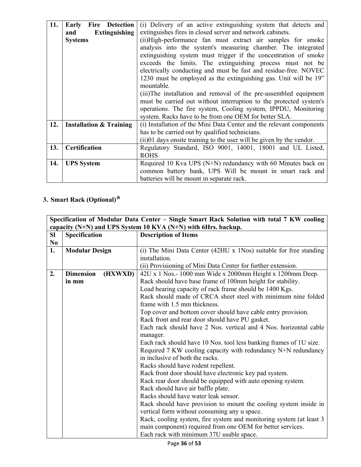| 11. | (i) Delivery of an active extinguishing system that detects and<br><b>Early Fire Detection</b><br>extinguishes fires in closed server and network cabinets.<br><b>Extinguishing</b><br>and<br>(ii)High-performance fan must extract air samples for smoke<br><b>Systems</b><br>analysis into the system's measuring chamber. The integrated<br>extinguishing system must trigger if the concentration of smoke<br>exceeds the limits. The extinguishing process must not be<br>electrically conducting and must be fast and residue-free. NOVEC<br>1230 must be employed as the extinguishing gas. Unit will be 19"<br>mountable.<br>(iii)The installation and removal of the pre-assembled equipment<br>must be carried out without interruption to the protected system's<br>operations. The fire system, Cooling system, IPPDU, Monitoring<br>system. Racks have to be from one OEM for better SLA. |                                                                                                                         |  |
|-----|--------------------------------------------------------------------------------------------------------------------------------------------------------------------------------------------------------------------------------------------------------------------------------------------------------------------------------------------------------------------------------------------------------------------------------------------------------------------------------------------------------------------------------------------------------------------------------------------------------------------------------------------------------------------------------------------------------------------------------------------------------------------------------------------------------------------------------------------------------------------------------------------------------|-------------------------------------------------------------------------------------------------------------------------|--|
| 12. | <b>Installation &amp; Training</b>                                                                                                                                                                                                                                                                                                                                                                                                                                                                                                                                                                                                                                                                                                                                                                                                                                                                     | (i) Installation of the Mini Data Center and the relevant components<br>has to be carried out by qualified technicians. |  |
|     |                                                                                                                                                                                                                                                                                                                                                                                                                                                                                                                                                                                                                                                                                                                                                                                                                                                                                                        | (ii)01 days onsite training to the user will be given by the vendor.                                                    |  |
| 13. | <b>Certification</b>                                                                                                                                                                                                                                                                                                                                                                                                                                                                                                                                                                                                                                                                                                                                                                                                                                                                                   | Regulatory Standard, ISO 9001, 14001, 18001 and UL Listed,                                                              |  |
|     |                                                                                                                                                                                                                                                                                                                                                                                                                                                                                                                                                                                                                                                                                                                                                                                                                                                                                                        | <b>ROHS</b>                                                                                                             |  |
| 14. | <b>UPS</b> System                                                                                                                                                                                                                                                                                                                                                                                                                                                                                                                                                                                                                                                                                                                                                                                                                                                                                      | Required 10 Kva UPS $(N+N)$ redundancy with 60 Minutes back on                                                          |  |
|     |                                                                                                                                                                                                                                                                                                                                                                                                                                                                                                                                                                                                                                                                                                                                                                                                                                                                                                        | common battery bank, UPS Will be mount in smart rack and                                                                |  |
|     |                                                                                                                                                                                                                                                                                                                                                                                                                                                                                                                                                                                                                                                                                                                                                                                                                                                                                                        | batteries will be mount in separate rack.                                                                               |  |

# **3. Smart Rack (Optional)\***

| Specification of Modular Data Center – Single Smart Rack Solution with total 7 KW cooling |                             |                                                                     |  |
|-------------------------------------------------------------------------------------------|-----------------------------|---------------------------------------------------------------------|--|
|                                                                                           |                             | capacity (N+N) and UPS System 10 KVA (N+N) with 6Hrs. backup.       |  |
| <b>SI</b>                                                                                 | Specification               | <b>Description of Items</b>                                         |  |
| $\bf No$                                                                                  |                             |                                                                     |  |
| 1.                                                                                        | <b>Modular Design</b>       | (i) The Mini Data Center (42HU x 1Nos) suitable for free standing   |  |
|                                                                                           |                             | installation.                                                       |  |
|                                                                                           |                             | (ii) Provisioning of Mini Data Center for further extension.        |  |
| 2.                                                                                        | <b>Dimension</b><br>(HXWXD) | 42U x 1 Nos.- 1000 mm Wide x 2000mm Height x 1200mm Deep.           |  |
|                                                                                           | in mm                       | Rack should have base frame of 100mm height for stability.          |  |
|                                                                                           |                             | Load bearing capacity of rack frame should be 1400 Kgs.             |  |
|                                                                                           |                             | Rack should made of CRCA sheet steel with minimum nine folded       |  |
|                                                                                           |                             | frame with 1.5 mm thickness.                                        |  |
|                                                                                           |                             | Top cover and bottom cover should have cable entry provision.       |  |
|                                                                                           |                             | Rack front and rear door should have PU gasket.                     |  |
|                                                                                           |                             | Each rack should have 2 Nos. vertical and 4 Nos. horizontal cable   |  |
|                                                                                           |                             | manager.                                                            |  |
|                                                                                           |                             | Each rack should have 10 Nos. tool less banking frames of 1U size.  |  |
|                                                                                           |                             | Required 7 KW cooling capacity with redundancy N+N redundancy       |  |
|                                                                                           |                             | in inclusive of both the racks.                                     |  |
|                                                                                           |                             | Racks should have rodent repellent.                                 |  |
|                                                                                           |                             | Rack front door should have electronic key pad system.              |  |
|                                                                                           |                             | Rack rear door should be equipped with auto opening system.         |  |
|                                                                                           |                             | Rack should have air baffle plate.                                  |  |
|                                                                                           |                             | Racks should have water leak sensor.                                |  |
|                                                                                           |                             | Rack should have provision to mount the cooling system inside in    |  |
|                                                                                           |                             | vertical form without consuming any u space.                        |  |
|                                                                                           |                             | Rack, cooling system, fire system and monitoring system (at least 3 |  |
|                                                                                           |                             | main component) required from one OEM for better services.          |  |
|                                                                                           |                             | Each rack with minimum 37U usable space.                            |  |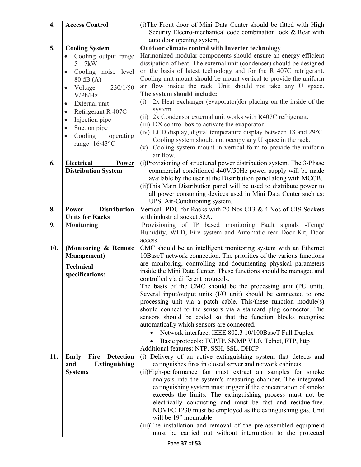| $\overline{4}$ .                                                       | <b>Access Control</b>                                                              | (i) The Front door of Mini Data Center should be fitted with High                                                                                                                                                                                                                                                                                                                                                                                                                                                                                                                                                                                                                                   |  |  |  |  |
|------------------------------------------------------------------------|------------------------------------------------------------------------------------|-----------------------------------------------------------------------------------------------------------------------------------------------------------------------------------------------------------------------------------------------------------------------------------------------------------------------------------------------------------------------------------------------------------------------------------------------------------------------------------------------------------------------------------------------------------------------------------------------------------------------------------------------------------------------------------------------------|--|--|--|--|
|                                                                        |                                                                                    | Security Electro-mechanical code combination lock & Rear with<br>auto door opening system,                                                                                                                                                                                                                                                                                                                                                                                                                                                                                                                                                                                                          |  |  |  |  |
| 5.                                                                     | <b>Cooling System</b>                                                              | Outdoor climate control with Inverter technology                                                                                                                                                                                                                                                                                                                                                                                                                                                                                                                                                                                                                                                    |  |  |  |  |
| Cooling output range<br>$5 - 7$ kW<br>Cooling noise level<br>80 dB (A) |                                                                                    | Harmonized modular components should ensure an energy-efficient<br>dissipation of heat. The external unit (condenser) should be designed<br>on the basis of latest technology and for the R 407C refrigerant.<br>Cooling unit mount should be mount vertical to provide the uniform                                                                                                                                                                                                                                                                                                                                                                                                                 |  |  |  |  |
|                                                                        | 230/1/50<br>Voltage<br>$\bullet$                                                   | air flow inside the rack, Unit should not take any U space.<br>The system should include:                                                                                                                                                                                                                                                                                                                                                                                                                                                                                                                                                                                                           |  |  |  |  |
|                                                                        | V/Ph/Hz<br>External unit<br>$\bullet$                                              | 2x Heat exchanger (evaporator) for placing on the inside of the<br>(i)                                                                                                                                                                                                                                                                                                                                                                                                                                                                                                                                                                                                                              |  |  |  |  |
|                                                                        | Refrigerant R 407C<br>$\bullet$                                                    | system.                                                                                                                                                                                                                                                                                                                                                                                                                                                                                                                                                                                                                                                                                             |  |  |  |  |
|                                                                        | Injection pipe<br>$\bullet$                                                        | (ii) 2x Condensor external unit works with R407C refrigerant.                                                                                                                                                                                                                                                                                                                                                                                                                                                                                                                                                                                                                                       |  |  |  |  |
|                                                                        | Suction pipe<br>$\bullet$                                                          | (iii) DX control box to activate the evaporator                                                                                                                                                                                                                                                                                                                                                                                                                                                                                                                                                                                                                                                     |  |  |  |  |
|                                                                        | Cooling<br>operating                                                               | (iv) LCD display, digital temperature display between 18 and 29°C.                                                                                                                                                                                                                                                                                                                                                                                                                                                                                                                                                                                                                                  |  |  |  |  |
|                                                                        | range - $16/43$ °C                                                                 | Cooling system should not occupy any U space in the rack.                                                                                                                                                                                                                                                                                                                                                                                                                                                                                                                                                                                                                                           |  |  |  |  |
|                                                                        |                                                                                    | (v) Cooling system mount in vertical form to provide the uniform<br>air flow.                                                                                                                                                                                                                                                                                                                                                                                                                                                                                                                                                                                                                       |  |  |  |  |
| 6.                                                                     | Electrical<br>Power                                                                | (i)Provisioning of structured power distribution system. The 3-Phase                                                                                                                                                                                                                                                                                                                                                                                                                                                                                                                                                                                                                                |  |  |  |  |
|                                                                        | <b>Distribution System</b>                                                         | commercial conditioned 440V/50Hz power supply will be made                                                                                                                                                                                                                                                                                                                                                                                                                                                                                                                                                                                                                                          |  |  |  |  |
|                                                                        |                                                                                    | available by the user at the Distribution panel along with MCCB.                                                                                                                                                                                                                                                                                                                                                                                                                                                                                                                                                                                                                                    |  |  |  |  |
|                                                                        |                                                                                    | (ii) This Main Distribution panel will be used to distribute power to<br>all power consuming devices used in Mini Data Center such as:                                                                                                                                                                                                                                                                                                                                                                                                                                                                                                                                                              |  |  |  |  |
|                                                                        |                                                                                    | UPS, Air-Conditioning system.                                                                                                                                                                                                                                                                                                                                                                                                                                                                                                                                                                                                                                                                       |  |  |  |  |
| 8.                                                                     | <b>Distribution</b><br>Power                                                       | Vertical PDU for Racks with 20 Nos C13 & 4 Nos of C19 Sockets                                                                                                                                                                                                                                                                                                                                                                                                                                                                                                                                                                                                                                       |  |  |  |  |
|                                                                        | <b>Units for Racks</b>                                                             | with industrial socket 32A.                                                                                                                                                                                                                                                                                                                                                                                                                                                                                                                                                                                                                                                                         |  |  |  |  |
| 9.                                                                     | <b>Monitoring</b>                                                                  | Provisioning of IP based monitoring Fault signals -Temp/                                                                                                                                                                                                                                                                                                                                                                                                                                                                                                                                                                                                                                            |  |  |  |  |
|                                                                        |                                                                                    | Humidity, WLD, Fire system and Automatic rear Door Kit, Door                                                                                                                                                                                                                                                                                                                                                                                                                                                                                                                                                                                                                                        |  |  |  |  |
|                                                                        |                                                                                    | access.                                                                                                                                                                                                                                                                                                                                                                                                                                                                                                                                                                                                                                                                                             |  |  |  |  |
| 10.                                                                    | (Monitoring & Remote                                                               | CMC should be an intelligent monitoring system with an Ethernet                                                                                                                                                                                                                                                                                                                                                                                                                                                                                                                                                                                                                                     |  |  |  |  |
|                                                                        | <b>Management</b> )                                                                | 10BaseT network connection. The priorities of the various functions                                                                                                                                                                                                                                                                                                                                                                                                                                                                                                                                                                                                                                 |  |  |  |  |
|                                                                        | <b>Technical</b>                                                                   | are monitoring, controlling and documenting physical parameters                                                                                                                                                                                                                                                                                                                                                                                                                                                                                                                                                                                                                                     |  |  |  |  |
| specifications:                                                        |                                                                                    | inside the Mini Data Center. These functions should be managed and<br>controlled via different protocols.                                                                                                                                                                                                                                                                                                                                                                                                                                                                                                                                                                                           |  |  |  |  |
|                                                                        |                                                                                    | The basis of the CMC should be the processing unit (PU unit).                                                                                                                                                                                                                                                                                                                                                                                                                                                                                                                                                                                                                                       |  |  |  |  |
|                                                                        |                                                                                    | Several input/output units (I/O unit) should be connected to one                                                                                                                                                                                                                                                                                                                                                                                                                                                                                                                                                                                                                                    |  |  |  |  |
|                                                                        |                                                                                    | processing unit via a patch cable. This/these function module(s)                                                                                                                                                                                                                                                                                                                                                                                                                                                                                                                                                                                                                                    |  |  |  |  |
|                                                                        |                                                                                    | should connect to the sensors via a standard plug connector. The                                                                                                                                                                                                                                                                                                                                                                                                                                                                                                                                                                                                                                    |  |  |  |  |
|                                                                        |                                                                                    |                                                                                                                                                                                                                                                                                                                                                                                                                                                                                                                                                                                                                                                                                                     |  |  |  |  |
|                                                                        |                                                                                    |                                                                                                                                                                                                                                                                                                                                                                                                                                                                                                                                                                                                                                                                                                     |  |  |  |  |
|                                                                        |                                                                                    |                                                                                                                                                                                                                                                                                                                                                                                                                                                                                                                                                                                                                                                                                                     |  |  |  |  |
|                                                                        |                                                                                    |                                                                                                                                                                                                                                                                                                                                                                                                                                                                                                                                                                                                                                                                                                     |  |  |  |  |
|                                                                        |                                                                                    |                                                                                                                                                                                                                                                                                                                                                                                                                                                                                                                                                                                                                                                                                                     |  |  |  |  |
|                                                                        |                                                                                    |                                                                                                                                                                                                                                                                                                                                                                                                                                                                                                                                                                                                                                                                                                     |  |  |  |  |
|                                                                        |                                                                                    |                                                                                                                                                                                                                                                                                                                                                                                                                                                                                                                                                                                                                                                                                                     |  |  |  |  |
|                                                                        |                                                                                    |                                                                                                                                                                                                                                                                                                                                                                                                                                                                                                                                                                                                                                                                                                     |  |  |  |  |
|                                                                        |                                                                                    | extinguishing system must trigger if the concentration of smoke                                                                                                                                                                                                                                                                                                                                                                                                                                                                                                                                                                                                                                     |  |  |  |  |
|                                                                        |                                                                                    | exceeds the limits. The extinguishing process must not be                                                                                                                                                                                                                                                                                                                                                                                                                                                                                                                                                                                                                                           |  |  |  |  |
|                                                                        |                                                                                    | electrically conducting and must be fast and residue-free.                                                                                                                                                                                                                                                                                                                                                                                                                                                                                                                                                                                                                                          |  |  |  |  |
|                                                                        |                                                                                    | NOVEC 1230 must be employed as the extinguishing gas. Unit                                                                                                                                                                                                                                                                                                                                                                                                                                                                                                                                                                                                                                          |  |  |  |  |
|                                                                        |                                                                                    |                                                                                                                                                                                                                                                                                                                                                                                                                                                                                                                                                                                                                                                                                                     |  |  |  |  |
|                                                                        |                                                                                    |                                                                                                                                                                                                                                                                                                                                                                                                                                                                                                                                                                                                                                                                                                     |  |  |  |  |
| 11.                                                                    | <b>Detection</b><br>Early<br>Fire<br><b>Extinguishing</b><br>and<br><b>Systems</b> | sensors should be coded so that the function blocks recognise<br>automatically which sensors are connected.<br>Network interface: IEEE 802.3 10/100BaseT Full Duplex<br>Basic protocols: TCP/IP, SNMP V1.0, Telnet, FTP, http<br>Additional features: NTP, SSH, SSL, DHCP<br>(i) Delivery of an active extinguishing system that detects and<br>extinguishes fires in closed server and network cabinets.<br>(ii)High-performance fan must extract air samples for smoke<br>analysis into the system's measuring chamber. The integrated<br>will be 19" mountable.<br>(iii)The installation and removal of the pre-assembled equipment<br>must be carried out without interruption to the protected |  |  |  |  |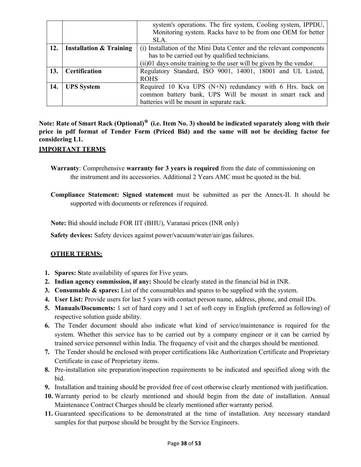|     |                                    | system's operations. The fire system, Cooling system, IPPDU,         |  |  |
|-----|------------------------------------|----------------------------------------------------------------------|--|--|
|     |                                    | Monitoring system. Racks have to be from one OEM for better          |  |  |
|     |                                    | SLA.                                                                 |  |  |
| 12. | <b>Installation &amp; Training</b> | (i) Installation of the Mini Data Center and the relevant components |  |  |
|     |                                    | has to be carried out by qualified technicians.                      |  |  |
|     |                                    | (ii)01 days onsite training to the user will be given by the vendor. |  |  |
| 13. | <b>Certification</b>               | Regulatory Standard, ISO 9001, 14001, 18001 and UL Listed,           |  |  |
|     |                                    | <b>ROHS</b>                                                          |  |  |
| 14. | <b>UPS</b> System                  | Required 10 Kva UPS (N+N) redundancy with 6 Hrs. back on             |  |  |
|     |                                    | common battery bank, UPS Will be mount in smart rack and             |  |  |
|     |                                    | batteries will be mount in separate rack.                            |  |  |

**Note: Rate of Smart Rack (Optional)\* (i.e. Item No. 3) should be indicated separately along with their price in pdf format of Tender Form (Priced Bid) and the same will not be deciding factor for considering L1.** 

### **IMPORTANT TERMS**

**Warranty**: Comprehensive **warranty for 3 years is required** from the date of commissioning on the instrument and its accessories. Additional 2 Years AMC must be quoted in the bid.

**Compliance Statement: Signed statement** must be submitted as per the Annex-II. It should be supported with documents or references if required.

**Note:** Bid should include FOR IIT (BHU), Varanasi prices (INR only)

**Safety devices:** Safety devices against power/vacuum/water/air/gas failures.

### **OTHER TERMS:**

- **1. Spares: S**tate availability of spares for Five years.
- **2. Indian agency commission, if any:** Should be clearly stated in the financial bid in INR.
- **3. Consumable & spares:** List of the consumables and spares to be supplied with the system.
- **4. User List:** Provide users for last 5 years with contact person name, address, phone, and email IDs.
- **5. Manuals/Documents:** 1 set of hard copy and 1 set of soft copy in English (preferred as following) of respective solution guide ability.
- **6.** The Tender document should also indicate what kind of service/maintenance is required for the system. Whether this service has to be carried out by a company engineer or it can be carried by trained service personnel within India. The frequency of visit and the charges should be mentioned.
- **7.** The Tender should be enclosed with proper certifications like Authorization Certificate and Proprietary Certificate in case of Proprietary items.
- **8.** Pre-installation site preparation/inspection requirements to be indicated and specified along with the bid.
- **9.** Installation and training should be provided free of cost otherwise clearly mentioned with justification.
- **10.** Warranty period to be clearly mentioned and should begin from the date of installation. Annual Maintenance Contract Charges should be clearly mentioned after warranty period.
- **11.** Guaranteed specifications to be demonstrated at the time of installation. Any necessary standard samples for that purpose should be brought by the Service Engineers.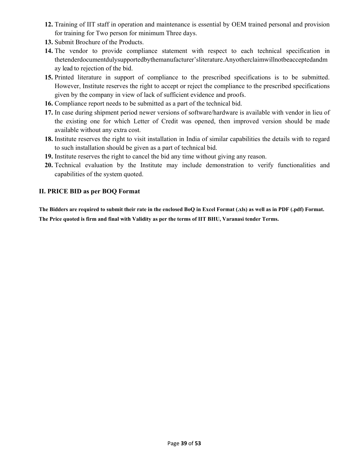- **12.** Training of IIT staff in operation and maintenance is essential by OEM trained personal and provision for training for Two person for minimum Three days.
- **13.** Submit Brochure of the Products.
- **14.** The vendor to provide compliance statement with respect to each technical specification in thetenderdocumentdulysupportedbythemanufacturer'sliterature.Anyotherclaimwillnotbeacceptedandm ay lead to rejection of the bid.
- **15.** Printed literature in support of compliance to the prescribed specifications is to be submitted. However, Institute reserves the right to accept or reject the compliance to the prescribed specifications given by the company in view of lack of sufficient evidence and proofs.
- **16.** Compliance report needs to be submitted as a part of the technical bid.
- **17.** In case during shipment period newer versions of software/hardware is available with vendor in lieu of the existing one for which Letter of Credit was opened, then improved version should be made available without any extra cost.
- **18.** Institute reserves the right to visit installation in India of similar capabilities the details with to regard to such installation should be given as a part of technical bid.
- **19.** Institute reserves the right to cancel the bid any time without giving any reason.
- **20.** Technical evaluation by the Institute may include demonstration to verify functionalities and capabilities of the system quoted.

### **II. PRICE BID as per BOQ Format**

**The Bidders are required to submit their rate in the enclosed BoQ in Excel Format (.xls) as well as in PDF (.pdf) Format. The Price quoted is firm and final with Validity as per the terms of IIT BHU, Varanasi tender Terms.**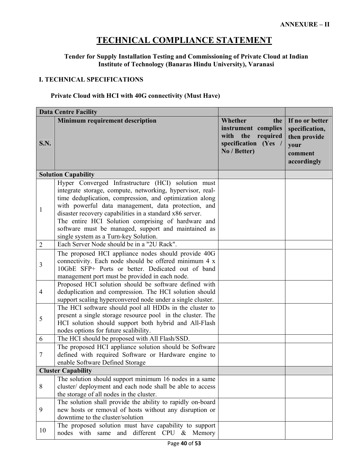# **TECHNICAL COMPLIANCE STATEMENT**

### **Tender for Supply Installation Testing and Commissioning of Private Cloud at Indian Institute of Technology (Banaras Hindu University), Varanasi**

### **I. TECHNICAL SPECIFICATIONS**

### **Private Cloud with HCI with 40G connectivity (Must Have)**

| <b>Data Centre Facility</b> |                                                                                                                                                                                                                                                                                                                                                                                                                                                     |                                                                                                          |                                                                                     |
|-----------------------------|-----------------------------------------------------------------------------------------------------------------------------------------------------------------------------------------------------------------------------------------------------------------------------------------------------------------------------------------------------------------------------------------------------------------------------------------------------|----------------------------------------------------------------------------------------------------------|-------------------------------------------------------------------------------------|
| <b>S.N.</b>                 | Minimum requirement description                                                                                                                                                                                                                                                                                                                                                                                                                     | Whether<br>the<br>instrument complies<br>with<br>the<br>required<br>specification (Yes /<br>No / Better) | If no or better<br>specification,<br>then provide<br>your<br>comment<br>accordingly |
|                             | <b>Solution Capability</b>                                                                                                                                                                                                                                                                                                                                                                                                                          |                                                                                                          |                                                                                     |
| $\mathbf{1}$                | Hyper Converged Infrastructure (HCI) solution must<br>integrate storage, compute, networking, hypervisor, real-<br>time deduplication, compression, and optimization along<br>with powerful data management, data protection, and<br>disaster recovery capabilities in a standard x86 server.<br>The entire HCI Solution comprising of hardware and<br>software must be managed, support and maintained as<br>single system as a Turn-key Solution. |                                                                                                          |                                                                                     |
| $\overline{2}$              | Each Server Node should be in a "2U Rack".                                                                                                                                                                                                                                                                                                                                                                                                          |                                                                                                          |                                                                                     |
| 3                           | The proposed HCI appliance nodes should provide 40G<br>connectivity. Each node should be offered minimum 4 x<br>10GbE SFP+ Ports or better. Dedicated out of band<br>management port must be provided in each node.                                                                                                                                                                                                                                 |                                                                                                          |                                                                                     |
| $\overline{4}$              | Proposed HCI solution should be software defined with<br>deduplication and compression. The HCI solution should<br>support scaling hyperconvered node under a single cluster.                                                                                                                                                                                                                                                                       |                                                                                                          |                                                                                     |
| 5                           | The HCI software should pool all HDDs in the cluster to<br>present a single storage resource pool in the cluster. The<br>HCI solution should support both hybrid and All-Flash<br>nodes options for future scalibility.                                                                                                                                                                                                                             |                                                                                                          |                                                                                     |
| 6                           | The HCI should be proposed with All Flash/SSD.                                                                                                                                                                                                                                                                                                                                                                                                      |                                                                                                          |                                                                                     |
| $\tau$                      | The proposed HCI appliance solution should be Software<br>defined with required Software or Hardware engine to<br>enable Software Defined Storage                                                                                                                                                                                                                                                                                                   |                                                                                                          |                                                                                     |
|                             | <b>Cluster Capability</b>                                                                                                                                                                                                                                                                                                                                                                                                                           |                                                                                                          |                                                                                     |
| $8\,$                       | The solution should support minimum 16 nodes in a same<br>cluster/ deployment and each node shall be able to access<br>the storage of all nodes in the cluster.                                                                                                                                                                                                                                                                                     |                                                                                                          |                                                                                     |
| 9                           | The solution shall provide the ability to rapidly on-board<br>new hosts or removal of hosts without any disruption or<br>downtime to the cluster/solution                                                                                                                                                                                                                                                                                           |                                                                                                          |                                                                                     |
| 10                          | The proposed solution must have capability to support<br>nodes with same and different CPU & Memory                                                                                                                                                                                                                                                                                                                                                 |                                                                                                          |                                                                                     |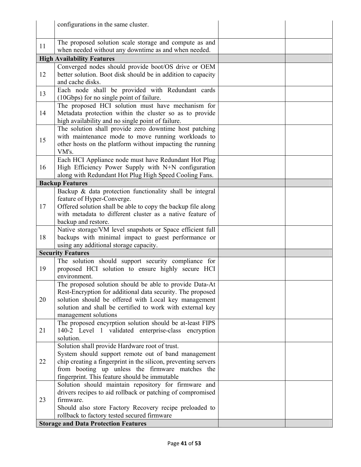|    | configurations in the same cluster.                                                                                                                                                                                                                                         |  |
|----|-----------------------------------------------------------------------------------------------------------------------------------------------------------------------------------------------------------------------------------------------------------------------------|--|
| 11 | The proposed solution scale storage and compute as and<br>when needed without any downtime as and when needed.                                                                                                                                                              |  |
|    | <b>High Availability Features</b>                                                                                                                                                                                                                                           |  |
| 12 | Converged nodes should provide boot/OS drive or OEM<br>better solution. Boot disk should be in addition to capacity<br>and cache disks.                                                                                                                                     |  |
| 13 | Each node shall be provided with Redundant cards<br>(10Gbps) for no single point of failure.                                                                                                                                                                                |  |
| 14 | The proposed HCI solution must have mechanism for<br>Metadata protection within the cluster so as to provide<br>high availability and no single point of failure.                                                                                                           |  |
| 15 | The solution shall provide zero downtime host patching<br>with maintenance mode to move running workloads to<br>other hosts on the platform without impacting the running<br>VM's.                                                                                          |  |
| 16 | Each HCI Appliance node must have Redundant Hot Plug<br>High Efficiency Power Supply with N+N configuration<br>along with Redundant Hot Plug High Speed Cooling Fans.                                                                                                       |  |
|    | <b>Backup Features</b>                                                                                                                                                                                                                                                      |  |
| 17 | Backup & data protection functionality shall be integral<br>feature of Hyper-Converge.<br>Offered solution shall be able to copy the backup file along<br>with metadata to different cluster as a native feature of<br>backup and restore.                                  |  |
| 18 | Native storage/VM level snapshots or Space efficient full<br>backups with minimal impact to guest performance or<br>using any additional storage capacity.                                                                                                                  |  |
|    | <b>Security Features</b>                                                                                                                                                                                                                                                    |  |
| 19 | The solution should support security compliance for<br>proposed HCI solution to ensure highly secure HCI<br>environment.                                                                                                                                                    |  |
| 20 | The proposed solution should be able to provide Data-At<br>Rest-Encryption for additional data security. The proposed<br>solution should be offered with Local key management<br>solution and shall be certified to work with external key<br>management solutions          |  |
| 21 | The proposed encyrption solution should be at-least FIPS<br>140-2 Level 1 validated enterprise-class encryption<br>solution.                                                                                                                                                |  |
| 22 | Solution shall provide Hardware root of trust.<br>System should support remote out of band management<br>chip creating a fingerprint in the silicon, preventing servers<br>from booting up unless the firmware matches the<br>fingerprint. This feature should be immutable |  |
| 23 | Solution should maintain repository for firmware and<br>drivers recipes to aid rollback or patching of compromised<br>firmware.<br>Should also store Factory Recovery recipe preloaded to<br>rollback to factory tested secured firmware                                    |  |
|    | <b>Storage and Data Protection Features</b>                                                                                                                                                                                                                                 |  |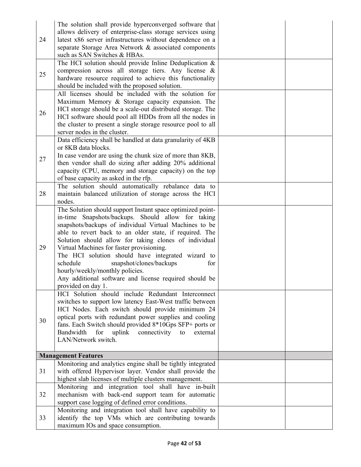| 24 | The solution shall provide hyperconverged software that<br>allows delivery of enterprise-class storage services using<br>latest x86 server infrastructures without dependence on a<br>separate Storage Area Network & associated components<br>such as SAN Switches & HBAs.                                                                                                                                                                                                                                                                 |  |
|----|---------------------------------------------------------------------------------------------------------------------------------------------------------------------------------------------------------------------------------------------------------------------------------------------------------------------------------------------------------------------------------------------------------------------------------------------------------------------------------------------------------------------------------------------|--|
| 25 | The HCI solution should provide Inline Deduplication $\&$<br>compression across all storage tiers. Any license $\&$<br>hardware resource required to achieve this functionality<br>should be included with the proposed solution.                                                                                                                                                                                                                                                                                                           |  |
| 26 | All licenses should be included with the solution for<br>Maximum Memory & Storage capacity expansion. The<br>HCI storage should be a scale-out distributed storage. The<br>HCI software should pool all HDDs from all the nodes in<br>the cluster to present a single storage resource pool to all<br>server nodes in the cluster.                                                                                                                                                                                                          |  |
| 27 | Data efficiency shall be handled at data granularity of 4KB<br>or 8KB data blocks.<br>In case vendor are using the chunk size of more than 8KB,<br>then vendor shall do sizing after adding 20% additional<br>capacity (CPU, memory and storage capacity) on the top<br>of base capacity as asked in the rfp.                                                                                                                                                                                                                               |  |
| 28 | The solution should automatically rebalance data to<br>maintain balanced utilization of storage across the HCI<br>nodes.                                                                                                                                                                                                                                                                                                                                                                                                                    |  |
| 29 | The Solution should support Instant space optimized point-<br>in-time Snapshots/backups. Should allow for taking<br>snapshots/backups of individual Virtual Machines to be<br>able to revert back to an older state, if required. The<br>Solution should allow for taking clones of individual<br>Virtual Machines for faster provisioning.<br>The HCI solution should have integrated wizard to<br>schedule<br>snapshot/clones/backups<br>for<br>hourly/weekly/monthly policies.<br>Any additional software and license required should be |  |
| 30 | provided on day 1.<br>HCI Solution should include Redundant Interconnect<br>switches to support low latency East-West traffic between<br>HCI Nodes. Each switch should provide minimum 24<br>optical ports with redundant power supplies and cooling<br>fans. Each Switch should provided 8*10Gps SFP+ ports or<br>Bandwidth<br>for<br>uplink<br>connectivity<br>external<br>to<br>LAN/Network switch.                                                                                                                                      |  |
|    | <b>Management Features</b>                                                                                                                                                                                                                                                                                                                                                                                                                                                                                                                  |  |
| 31 | Monitoring and analytics engine shall be tightly integrated<br>with offered Hypervisor layer. Vendor shall provide the<br>highest slab licenses of multiple clusters management.                                                                                                                                                                                                                                                                                                                                                            |  |
| 32 | Monitoring and integration tool shall have in-built<br>mechanism with back-end support team for automatic<br>support case logging of defined error conditions.                                                                                                                                                                                                                                                                                                                                                                              |  |
| 33 | Monitoring and integration tool shall have capability to<br>identify the top VMs which are contributing towards<br>maximum IOs and space consumption.                                                                                                                                                                                                                                                                                                                                                                                       |  |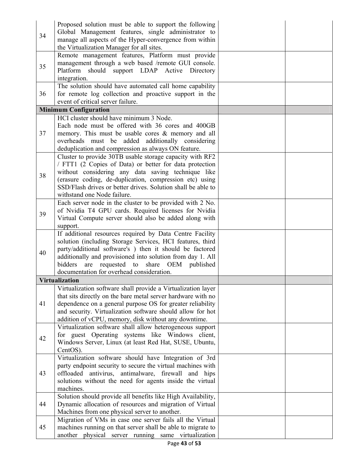| 34 | Proposed solution must be able to support the following<br>Global Management features, single administrator to<br>manage all aspects of the Hyper-convergence from within<br>the Virtualization Manager for all sites.                                                                                                                                |  |
|----|-------------------------------------------------------------------------------------------------------------------------------------------------------------------------------------------------------------------------------------------------------------------------------------------------------------------------------------------------------|--|
| 35 | Remote management features, Platform must provide<br>management through a web based /remote GUI console.<br>Platform should support LDAP Active Directory<br>integration.                                                                                                                                                                             |  |
| 36 | The solution should have automated call home capability<br>for remote log collection and proactive support in the<br>event of critical server failure.                                                                                                                                                                                                |  |
|    | <b>Minimum Configuration</b>                                                                                                                                                                                                                                                                                                                          |  |
| 37 | HCI cluster should have minimum 3 Node.<br>Each node must be offered with 36 cores and 400GB<br>memory. This must be usable cores & memory and all<br>overheads must be added additionally considering<br>deduplication and compression as always ON feature.                                                                                         |  |
| 38 | Cluster to provide 30TB usable storage capacity with RF2<br>/ FTT1 (2 Copies of Data) or better for data protection<br>without considering any data saving technique like<br>(erasure coding, de-duplication, compression etc) using<br>SSD/Flash drives or better drives. Solution shall be able to<br>withstand one Node failure.                   |  |
| 39 | Each server node in the cluster to be provided with 2 No.<br>of Nvidia T4 GPU cards. Required licenses for Nvidia<br>Virtual Compute server should also be added along with<br>support.                                                                                                                                                               |  |
| 40 | If additional resources required by Data Centre Facility<br>solution (including Storage Services, HCI features, third<br>party/additional software's ) then it should be factored<br>additionally and provisioned into solution from day 1. All<br>share OEM published<br>bidders<br>are<br>requested to<br>documentation for overhead consideration. |  |
|    | <b>Virtualization</b>                                                                                                                                                                                                                                                                                                                                 |  |
| 41 | Virtualization software shall provide a Virtualization layer<br>that sits directly on the bare metal server hardware with no<br>dependence on a general purpose OS for greater reliability<br>and security. Virtualization software should allow for hot<br>addition of vCPU, memory, disk without any downtime.                                      |  |
| 42 | Virtualization software shall allow heterogeneous support<br>for guest Operating systems like Windows client,<br>Windows Server, Linux (at least Red Hat, SUSE, Ubuntu,<br>CentOS).                                                                                                                                                                   |  |
| 43 | Virtualization software should have Integration of 3rd<br>party endpoint security to secure the virtual machines with<br>offloaded antivirus, antimalware, firewall and hips<br>solutions without the need for agents inside the virtual<br>machines.                                                                                                 |  |
| 44 | Solution should provide all benefits like High Availability,<br>Dynamic allocation of resources and migration of Virtual<br>Machines from one physical server to another.                                                                                                                                                                             |  |
| 45 | Migration of VMs in case one server fails all the Virtual<br>machines running on that server shall be able to migrate to<br>another physical server running same virtualization                                                                                                                                                                       |  |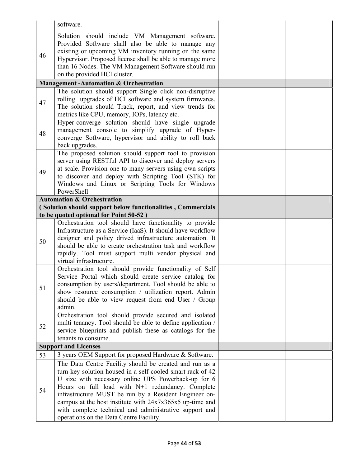|    | software.                                                                                                            |  |
|----|----------------------------------------------------------------------------------------------------------------------|--|
|    | Solution should include VM Management software.                                                                      |  |
|    | Provided Software shall also be able to manage any                                                                   |  |
|    | existing or upcoming VM inventory running on the same                                                                |  |
| 46 | Hypervisor. Proposed license shall be able to manage more                                                            |  |
|    | than 16 Nodes. The VM Management Software should run                                                                 |  |
|    | on the provided HCI cluster.                                                                                         |  |
|    | <b>Management-Automation &amp; Orchestration</b>                                                                     |  |
|    | The solution should support Single click non-disruptive                                                              |  |
| 47 | rolling upgrades of HCI software and system firmwares.                                                               |  |
|    | The solution should Track, report, and view trends for                                                               |  |
|    | metrics like CPU, memory, IOPs, latency etc.                                                                         |  |
|    | Hyper-converge solution should have single upgrade                                                                   |  |
| 48 | management console to simplify upgrade of Hyper-                                                                     |  |
|    | converge Software, hypervisor and ability to roll back<br>back upgrades.                                             |  |
|    | The proposed solution should support tool to provision                                                               |  |
|    | server using RESTful API to discover and deploy servers                                                              |  |
|    | at scale. Provision one to many servers using own scripts                                                            |  |
| 49 | to discover and deploy with Scripting Tool (STK) for                                                                 |  |
|    | Windows and Linux or Scripting Tools for Windows                                                                     |  |
|    | PowerShell                                                                                                           |  |
|    | <b>Automation &amp; Orchestration</b>                                                                                |  |
|    | (Solution should support below functionalities, Commercials                                                          |  |
|    | to be quoted optional for Point 50-52)                                                                               |  |
|    | Orchestration tool should have functionality to provide                                                              |  |
|    | Infrastructure as a Service (IaaS). It should have workflow                                                          |  |
| 50 | designer and policy drived infrastructure automation. It<br>should be able to create orchestration task and workflow |  |
|    | rapidly. Tool must support multi vendor physical and                                                                 |  |
|    | virtual infrastructure.                                                                                              |  |
|    | Orchestration tool should provide functionality of Self                                                              |  |
|    | Service Portal which should create service catalog for                                                               |  |
|    | consumption by users/department. Tool should be able to                                                              |  |
| 51 | show resource consumption / utilization report. Admin                                                                |  |
|    | should be able to view request from end User / Group                                                                 |  |
|    | admin.                                                                                                               |  |
|    | Orchestration tool should provide secured and isolated                                                               |  |
| 52 | multi tenancy. Tool should be able to define application /                                                           |  |
|    | service blueprints and publish these as catalogs for the                                                             |  |
|    | tenants to consume.                                                                                                  |  |
|    | <b>Support and Licenses</b>                                                                                          |  |
| 53 | 3 years OEM Support for proposed Hardware & Software.                                                                |  |
|    | The Data Centre Facility should be created and run as a                                                              |  |
|    | turn-key solution housed in a self-cooled smart rack of 42<br>U size with necessary online UPS Powerback-up for 6    |  |
|    | Hours on full load with N+1 redundancy. Complete                                                                     |  |
| 54 | infrastructure MUST be run by a Resident Engineer on-                                                                |  |
|    | campus at the host institute with 24x7x365x5 up-time and                                                             |  |
|    | with complete technical and administrative support and                                                               |  |
|    | operations on the Data Centre Facility.                                                                              |  |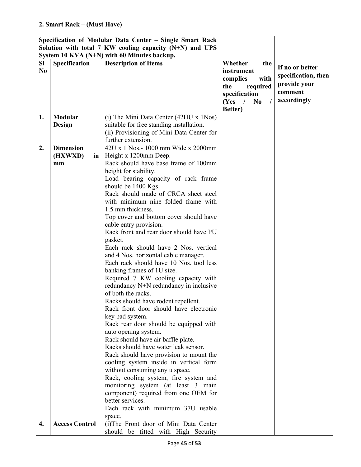| Solution with total 7 KW cooling capacity (N+N) and UPS<br>System 10 KVA (N+N) with 60 Minutes backup.<br>Specification<br>Whether<br><b>SI</b><br><b>Description of Items</b><br>the<br>If no or better<br>N <sub>0</sub><br>instrument<br>specification, then<br>complies<br>with<br>provide your<br>required<br>the<br>comment<br>specification<br>accordingly<br>(Yes<br>N <sub>0</sub><br>$\prime$<br><b>Better</b> )<br>Modular<br>1.<br>(i) The Mini Data Center (42HU x 1Nos)<br>suitable for free standing installation.<br>Design<br>(ii) Provisioning of Mini Data Center for<br>further extension.<br>42U x 1 Nos.- 1000 mm Wide x 2000mm<br><b>Dimension</b><br>2.<br>(HXWXD)<br>Height x 1200mm Deep.<br>$\mathbf{in}$<br>Rack should have base frame of 100mm<br>mm<br>height for stability.<br>Load bearing capacity of rack frame<br>should be 1400 Kgs.<br>Rack should made of CRCA sheet steel<br>with minimum nine folded frame with<br>1.5 mm thickness.<br>Top cover and bottom cover should have<br>cable entry provision.<br>Rack front and rear door should have PU<br>gasket.<br>Each rack should have 2 Nos. vertical<br>and 4 Nos. horizontal cable manager.<br>Each rack should have 10 Nos. tool less<br>banking frames of 1U size.<br>Required 7 KW cooling capacity with<br>redundancy N+N redundancy in inclusive<br>of both the racks.<br>Racks should have rodent repellent.<br>Rack front door should have electronic<br>key pad system.<br>Rack rear door should be equipped with<br>auto opening system.<br>Rack should have air baffle plate.<br>Racks should have water leak sensor.<br>Rack should have provision to mount the<br>cooling system inside in vertical form<br>without consuming any u space.<br>Rack, cooling system, fire system and<br>monitoring system (at least 3 main<br>component) required from one OEM for<br>better services.<br>Each rack with minimum 37U usable |  | Specification of Modular Data Center - Single Smart Rack |  |
|-------------------------------------------------------------------------------------------------------------------------------------------------------------------------------------------------------------------------------------------------------------------------------------------------------------------------------------------------------------------------------------------------------------------------------------------------------------------------------------------------------------------------------------------------------------------------------------------------------------------------------------------------------------------------------------------------------------------------------------------------------------------------------------------------------------------------------------------------------------------------------------------------------------------------------------------------------------------------------------------------------------------------------------------------------------------------------------------------------------------------------------------------------------------------------------------------------------------------------------------------------------------------------------------------------------------------------------------------------------------------------------------------------------------------------------------------------------------------------------------------------------------------------------------------------------------------------------------------------------------------------------------------------------------------------------------------------------------------------------------------------------------------------------------------------------------------------------------------------------------------------------------------------------------------------------|--|----------------------------------------------------------|--|
|                                                                                                                                                                                                                                                                                                                                                                                                                                                                                                                                                                                                                                                                                                                                                                                                                                                                                                                                                                                                                                                                                                                                                                                                                                                                                                                                                                                                                                                                                                                                                                                                                                                                                                                                                                                                                                                                                                                                     |  |                                                          |  |
|                                                                                                                                                                                                                                                                                                                                                                                                                                                                                                                                                                                                                                                                                                                                                                                                                                                                                                                                                                                                                                                                                                                                                                                                                                                                                                                                                                                                                                                                                                                                                                                                                                                                                                                                                                                                                                                                                                                                     |  |                                                          |  |
|                                                                                                                                                                                                                                                                                                                                                                                                                                                                                                                                                                                                                                                                                                                                                                                                                                                                                                                                                                                                                                                                                                                                                                                                                                                                                                                                                                                                                                                                                                                                                                                                                                                                                                                                                                                                                                                                                                                                     |  |                                                          |  |
|                                                                                                                                                                                                                                                                                                                                                                                                                                                                                                                                                                                                                                                                                                                                                                                                                                                                                                                                                                                                                                                                                                                                                                                                                                                                                                                                                                                                                                                                                                                                                                                                                                                                                                                                                                                                                                                                                                                                     |  |                                                          |  |
|                                                                                                                                                                                                                                                                                                                                                                                                                                                                                                                                                                                                                                                                                                                                                                                                                                                                                                                                                                                                                                                                                                                                                                                                                                                                                                                                                                                                                                                                                                                                                                                                                                                                                                                                                                                                                                                                                                                                     |  |                                                          |  |
|                                                                                                                                                                                                                                                                                                                                                                                                                                                                                                                                                                                                                                                                                                                                                                                                                                                                                                                                                                                                                                                                                                                                                                                                                                                                                                                                                                                                                                                                                                                                                                                                                                                                                                                                                                                                                                                                                                                                     |  |                                                          |  |
|                                                                                                                                                                                                                                                                                                                                                                                                                                                                                                                                                                                                                                                                                                                                                                                                                                                                                                                                                                                                                                                                                                                                                                                                                                                                                                                                                                                                                                                                                                                                                                                                                                                                                                                                                                                                                                                                                                                                     |  |                                                          |  |
|                                                                                                                                                                                                                                                                                                                                                                                                                                                                                                                                                                                                                                                                                                                                                                                                                                                                                                                                                                                                                                                                                                                                                                                                                                                                                                                                                                                                                                                                                                                                                                                                                                                                                                                                                                                                                                                                                                                                     |  |                                                          |  |
|                                                                                                                                                                                                                                                                                                                                                                                                                                                                                                                                                                                                                                                                                                                                                                                                                                                                                                                                                                                                                                                                                                                                                                                                                                                                                                                                                                                                                                                                                                                                                                                                                                                                                                                                                                                                                                                                                                                                     |  |                                                          |  |
|                                                                                                                                                                                                                                                                                                                                                                                                                                                                                                                                                                                                                                                                                                                                                                                                                                                                                                                                                                                                                                                                                                                                                                                                                                                                                                                                                                                                                                                                                                                                                                                                                                                                                                                                                                                                                                                                                                                                     |  |                                                          |  |
|                                                                                                                                                                                                                                                                                                                                                                                                                                                                                                                                                                                                                                                                                                                                                                                                                                                                                                                                                                                                                                                                                                                                                                                                                                                                                                                                                                                                                                                                                                                                                                                                                                                                                                                                                                                                                                                                                                                                     |  |                                                          |  |
|                                                                                                                                                                                                                                                                                                                                                                                                                                                                                                                                                                                                                                                                                                                                                                                                                                                                                                                                                                                                                                                                                                                                                                                                                                                                                                                                                                                                                                                                                                                                                                                                                                                                                                                                                                                                                                                                                                                                     |  |                                                          |  |
|                                                                                                                                                                                                                                                                                                                                                                                                                                                                                                                                                                                                                                                                                                                                                                                                                                                                                                                                                                                                                                                                                                                                                                                                                                                                                                                                                                                                                                                                                                                                                                                                                                                                                                                                                                                                                                                                                                                                     |  |                                                          |  |
|                                                                                                                                                                                                                                                                                                                                                                                                                                                                                                                                                                                                                                                                                                                                                                                                                                                                                                                                                                                                                                                                                                                                                                                                                                                                                                                                                                                                                                                                                                                                                                                                                                                                                                                                                                                                                                                                                                                                     |  |                                                          |  |
|                                                                                                                                                                                                                                                                                                                                                                                                                                                                                                                                                                                                                                                                                                                                                                                                                                                                                                                                                                                                                                                                                                                                                                                                                                                                                                                                                                                                                                                                                                                                                                                                                                                                                                                                                                                                                                                                                                                                     |  |                                                          |  |
|                                                                                                                                                                                                                                                                                                                                                                                                                                                                                                                                                                                                                                                                                                                                                                                                                                                                                                                                                                                                                                                                                                                                                                                                                                                                                                                                                                                                                                                                                                                                                                                                                                                                                                                                                                                                                                                                                                                                     |  |                                                          |  |
|                                                                                                                                                                                                                                                                                                                                                                                                                                                                                                                                                                                                                                                                                                                                                                                                                                                                                                                                                                                                                                                                                                                                                                                                                                                                                                                                                                                                                                                                                                                                                                                                                                                                                                                                                                                                                                                                                                                                     |  |                                                          |  |
|                                                                                                                                                                                                                                                                                                                                                                                                                                                                                                                                                                                                                                                                                                                                                                                                                                                                                                                                                                                                                                                                                                                                                                                                                                                                                                                                                                                                                                                                                                                                                                                                                                                                                                                                                                                                                                                                                                                                     |  |                                                          |  |
|                                                                                                                                                                                                                                                                                                                                                                                                                                                                                                                                                                                                                                                                                                                                                                                                                                                                                                                                                                                                                                                                                                                                                                                                                                                                                                                                                                                                                                                                                                                                                                                                                                                                                                                                                                                                                                                                                                                                     |  |                                                          |  |
|                                                                                                                                                                                                                                                                                                                                                                                                                                                                                                                                                                                                                                                                                                                                                                                                                                                                                                                                                                                                                                                                                                                                                                                                                                                                                                                                                                                                                                                                                                                                                                                                                                                                                                                                                                                                                                                                                                                                     |  |                                                          |  |
|                                                                                                                                                                                                                                                                                                                                                                                                                                                                                                                                                                                                                                                                                                                                                                                                                                                                                                                                                                                                                                                                                                                                                                                                                                                                                                                                                                                                                                                                                                                                                                                                                                                                                                                                                                                                                                                                                                                                     |  |                                                          |  |
|                                                                                                                                                                                                                                                                                                                                                                                                                                                                                                                                                                                                                                                                                                                                                                                                                                                                                                                                                                                                                                                                                                                                                                                                                                                                                                                                                                                                                                                                                                                                                                                                                                                                                                                                                                                                                                                                                                                                     |  |                                                          |  |
|                                                                                                                                                                                                                                                                                                                                                                                                                                                                                                                                                                                                                                                                                                                                                                                                                                                                                                                                                                                                                                                                                                                                                                                                                                                                                                                                                                                                                                                                                                                                                                                                                                                                                                                                                                                                                                                                                                                                     |  |                                                          |  |
|                                                                                                                                                                                                                                                                                                                                                                                                                                                                                                                                                                                                                                                                                                                                                                                                                                                                                                                                                                                                                                                                                                                                                                                                                                                                                                                                                                                                                                                                                                                                                                                                                                                                                                                                                                                                                                                                                                                                     |  |                                                          |  |
|                                                                                                                                                                                                                                                                                                                                                                                                                                                                                                                                                                                                                                                                                                                                                                                                                                                                                                                                                                                                                                                                                                                                                                                                                                                                                                                                                                                                                                                                                                                                                                                                                                                                                                                                                                                                                                                                                                                                     |  |                                                          |  |
|                                                                                                                                                                                                                                                                                                                                                                                                                                                                                                                                                                                                                                                                                                                                                                                                                                                                                                                                                                                                                                                                                                                                                                                                                                                                                                                                                                                                                                                                                                                                                                                                                                                                                                                                                                                                                                                                                                                                     |  |                                                          |  |
|                                                                                                                                                                                                                                                                                                                                                                                                                                                                                                                                                                                                                                                                                                                                                                                                                                                                                                                                                                                                                                                                                                                                                                                                                                                                                                                                                                                                                                                                                                                                                                                                                                                                                                                                                                                                                                                                                                                                     |  |                                                          |  |
|                                                                                                                                                                                                                                                                                                                                                                                                                                                                                                                                                                                                                                                                                                                                                                                                                                                                                                                                                                                                                                                                                                                                                                                                                                                                                                                                                                                                                                                                                                                                                                                                                                                                                                                                                                                                                                                                                                                                     |  |                                                          |  |
|                                                                                                                                                                                                                                                                                                                                                                                                                                                                                                                                                                                                                                                                                                                                                                                                                                                                                                                                                                                                                                                                                                                                                                                                                                                                                                                                                                                                                                                                                                                                                                                                                                                                                                                                                                                                                                                                                                                                     |  |                                                          |  |
|                                                                                                                                                                                                                                                                                                                                                                                                                                                                                                                                                                                                                                                                                                                                                                                                                                                                                                                                                                                                                                                                                                                                                                                                                                                                                                                                                                                                                                                                                                                                                                                                                                                                                                                                                                                                                                                                                                                                     |  |                                                          |  |
|                                                                                                                                                                                                                                                                                                                                                                                                                                                                                                                                                                                                                                                                                                                                                                                                                                                                                                                                                                                                                                                                                                                                                                                                                                                                                                                                                                                                                                                                                                                                                                                                                                                                                                                                                                                                                                                                                                                                     |  |                                                          |  |
|                                                                                                                                                                                                                                                                                                                                                                                                                                                                                                                                                                                                                                                                                                                                                                                                                                                                                                                                                                                                                                                                                                                                                                                                                                                                                                                                                                                                                                                                                                                                                                                                                                                                                                                                                                                                                                                                                                                                     |  |                                                          |  |
|                                                                                                                                                                                                                                                                                                                                                                                                                                                                                                                                                                                                                                                                                                                                                                                                                                                                                                                                                                                                                                                                                                                                                                                                                                                                                                                                                                                                                                                                                                                                                                                                                                                                                                                                                                                                                                                                                                                                     |  |                                                          |  |
|                                                                                                                                                                                                                                                                                                                                                                                                                                                                                                                                                                                                                                                                                                                                                                                                                                                                                                                                                                                                                                                                                                                                                                                                                                                                                                                                                                                                                                                                                                                                                                                                                                                                                                                                                                                                                                                                                                                                     |  |                                                          |  |
|                                                                                                                                                                                                                                                                                                                                                                                                                                                                                                                                                                                                                                                                                                                                                                                                                                                                                                                                                                                                                                                                                                                                                                                                                                                                                                                                                                                                                                                                                                                                                                                                                                                                                                                                                                                                                                                                                                                                     |  |                                                          |  |
|                                                                                                                                                                                                                                                                                                                                                                                                                                                                                                                                                                                                                                                                                                                                                                                                                                                                                                                                                                                                                                                                                                                                                                                                                                                                                                                                                                                                                                                                                                                                                                                                                                                                                                                                                                                                                                                                                                                                     |  |                                                          |  |
|                                                                                                                                                                                                                                                                                                                                                                                                                                                                                                                                                                                                                                                                                                                                                                                                                                                                                                                                                                                                                                                                                                                                                                                                                                                                                                                                                                                                                                                                                                                                                                                                                                                                                                                                                                                                                                                                                                                                     |  |                                                          |  |
|                                                                                                                                                                                                                                                                                                                                                                                                                                                                                                                                                                                                                                                                                                                                                                                                                                                                                                                                                                                                                                                                                                                                                                                                                                                                                                                                                                                                                                                                                                                                                                                                                                                                                                                                                                                                                                                                                                                                     |  |                                                          |  |
|                                                                                                                                                                                                                                                                                                                                                                                                                                                                                                                                                                                                                                                                                                                                                                                                                                                                                                                                                                                                                                                                                                                                                                                                                                                                                                                                                                                                                                                                                                                                                                                                                                                                                                                                                                                                                                                                                                                                     |  |                                                          |  |
|                                                                                                                                                                                                                                                                                                                                                                                                                                                                                                                                                                                                                                                                                                                                                                                                                                                                                                                                                                                                                                                                                                                                                                                                                                                                                                                                                                                                                                                                                                                                                                                                                                                                                                                                                                                                                                                                                                                                     |  |                                                          |  |
|                                                                                                                                                                                                                                                                                                                                                                                                                                                                                                                                                                                                                                                                                                                                                                                                                                                                                                                                                                                                                                                                                                                                                                                                                                                                                                                                                                                                                                                                                                                                                                                                                                                                                                                                                                                                                                                                                                                                     |  |                                                          |  |
|                                                                                                                                                                                                                                                                                                                                                                                                                                                                                                                                                                                                                                                                                                                                                                                                                                                                                                                                                                                                                                                                                                                                                                                                                                                                                                                                                                                                                                                                                                                                                                                                                                                                                                                                                                                                                                                                                                                                     |  |                                                          |  |
|                                                                                                                                                                                                                                                                                                                                                                                                                                                                                                                                                                                                                                                                                                                                                                                                                                                                                                                                                                                                                                                                                                                                                                                                                                                                                                                                                                                                                                                                                                                                                                                                                                                                                                                                                                                                                                                                                                                                     |  |                                                          |  |
|                                                                                                                                                                                                                                                                                                                                                                                                                                                                                                                                                                                                                                                                                                                                                                                                                                                                                                                                                                                                                                                                                                                                                                                                                                                                                                                                                                                                                                                                                                                                                                                                                                                                                                                                                                                                                                                                                                                                     |  |                                                          |  |
|                                                                                                                                                                                                                                                                                                                                                                                                                                                                                                                                                                                                                                                                                                                                                                                                                                                                                                                                                                                                                                                                                                                                                                                                                                                                                                                                                                                                                                                                                                                                                                                                                                                                                                                                                                                                                                                                                                                                     |  |                                                          |  |
|                                                                                                                                                                                                                                                                                                                                                                                                                                                                                                                                                                                                                                                                                                                                                                                                                                                                                                                                                                                                                                                                                                                                                                                                                                                                                                                                                                                                                                                                                                                                                                                                                                                                                                                                                                                                                                                                                                                                     |  |                                                          |  |
|                                                                                                                                                                                                                                                                                                                                                                                                                                                                                                                                                                                                                                                                                                                                                                                                                                                                                                                                                                                                                                                                                                                                                                                                                                                                                                                                                                                                                                                                                                                                                                                                                                                                                                                                                                                                                                                                                                                                     |  |                                                          |  |
| space.<br><b>Access Control</b><br>(i) The Front door of Mini Data Center                                                                                                                                                                                                                                                                                                                                                                                                                                                                                                                                                                                                                                                                                                                                                                                                                                                                                                                                                                                                                                                                                                                                                                                                                                                                                                                                                                                                                                                                                                                                                                                                                                                                                                                                                                                                                                                           |  |                                                          |  |
| 4.<br>should be fitted with High Security                                                                                                                                                                                                                                                                                                                                                                                                                                                                                                                                                                                                                                                                                                                                                                                                                                                                                                                                                                                                                                                                                                                                                                                                                                                                                                                                                                                                                                                                                                                                                                                                                                                                                                                                                                                                                                                                                           |  |                                                          |  |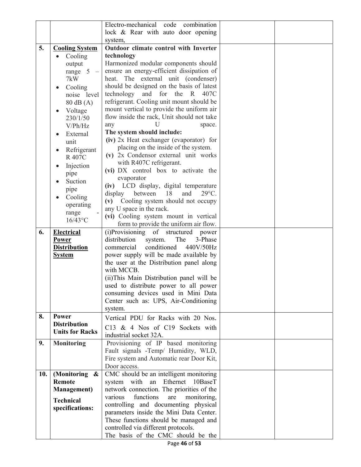|     |                                      | Electro-mechanical code combination                                          |  |
|-----|--------------------------------------|------------------------------------------------------------------------------|--|
|     |                                      | lock & Rear with auto door opening                                           |  |
|     |                                      | system,                                                                      |  |
| 5.  | <b>Cooling System</b>                | Outdoor climate control with Inverter                                        |  |
|     | Cooling                              | technology                                                                   |  |
|     | output                               | Harmonized modular components should                                         |  |
|     | range 5<br>$\overline{a}$            | ensure an energy-efficient dissipation of                                    |  |
|     | 7kW                                  | heat. The external unit (condenser)                                          |  |
|     | Cooling                              | should be designed on the basis of latest                                    |  |
|     | noise level                          | technology<br>and for the R 407C                                             |  |
|     | 80 dB (A)                            | refrigerant. Cooling unit mount should be                                    |  |
|     |                                      | mount vertical to provide the uniform air                                    |  |
|     | Voltage<br>230/1/50                  | flow inside the rack, Unit should not take                                   |  |
|     | V/Ph/Hz                              | space.<br>any                                                                |  |
|     |                                      | The system should include:                                                   |  |
|     | External                             | (iv) 2x Heat exchanger (evaporator) for                                      |  |
|     | unit                                 | placing on the inside of the system.                                         |  |
|     | Refrigerant                          | (v) 2x Condensor external unit works                                         |  |
|     | R 407C                               | with R407C refrigerant.                                                      |  |
|     | Injection                            | (vi) DX control box to activate the                                          |  |
|     | pipe                                 | evaporator                                                                   |  |
|     | Suction                              | (iv) LCD display, digital temperature                                        |  |
|     | pipe                                 | $29^{\circ}$ C.<br>display<br>between<br>18<br>and                           |  |
|     | Cooling                              | Cooling system should not occupy<br>(v)                                      |  |
|     | operating                            | any U space in the rack.                                                     |  |
|     | range                                | (vi) Cooling system mount in vertical                                        |  |
|     | $16/43$ °C                           | form to provide the uniform air flow.                                        |  |
| 6.  | <b>Electrical</b>                    | (i)Provisioning<br>of<br>structured<br>power                                 |  |
|     | Power                                | distribution<br>The<br>3-Phase<br>system.                                    |  |
|     |                                      |                                                                              |  |
|     |                                      |                                                                              |  |
|     | <b>Distribution</b>                  | conditioned<br>440V/50Hz<br>commercial                                       |  |
|     | <b>System</b>                        | power supply will be made available by                                       |  |
|     |                                      | the user at the Distribution panel along                                     |  |
|     |                                      | with MCCB.                                                                   |  |
|     |                                      | (ii)This Main Distribution panel will be                                     |  |
|     |                                      | used to distribute power to all power                                        |  |
|     |                                      | consuming devices used in Mini Data                                          |  |
|     |                                      | Center such as: UPS, Air-Conditioning<br>system.                             |  |
| 8.  | <b>Power</b>                         |                                                                              |  |
|     | <b>Distribution</b>                  | Vertical PDU for Racks with 20 Nos.                                          |  |
|     | <b>Units for Racks</b>               | C13 & 4 Nos of C19 Sockets with                                              |  |
|     |                                      | industrial socket 32A.                                                       |  |
| 9.  | <b>Monitoring</b>                    | Provisioning of IP based monitoring                                          |  |
|     |                                      | Fault signals -Temp/ Humidity, WLD,                                          |  |
|     |                                      | Fire system and Automatic rear Door Kit,                                     |  |
|     |                                      | Door access.                                                                 |  |
| 10. | (Monitoring<br>$\boldsymbol{\alpha}$ | CMC should be an intelligent monitoring                                      |  |
|     | <b>Remote</b>                        | Ethernet<br>10BaseT<br>system with an                                        |  |
|     | <b>Management</b> )                  | network connection. The priorities of the                                    |  |
|     | <b>Technical</b>                     | functions<br>various<br>are<br>monitoring,                                   |  |
|     | specifications:                      | controlling and documenting physical                                         |  |
|     |                                      | parameters inside the Mini Data Center.                                      |  |
|     |                                      | These functions should be managed and<br>controlled via different protocols. |  |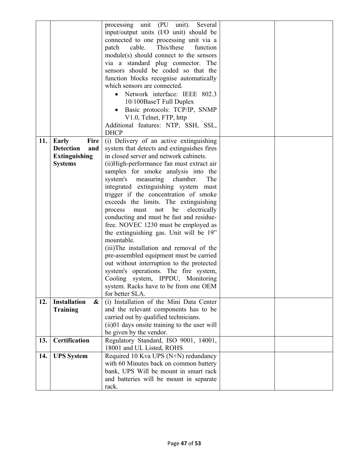|     |                                          | processing unit (PU unit). Several                                |  |
|-----|------------------------------------------|-------------------------------------------------------------------|--|
|     |                                          | input/output units (I/O unit) should be                           |  |
|     |                                          | connected to one processing unit via a                            |  |
|     |                                          | This/these<br>cable.<br>function<br>patch                         |  |
|     |                                          | module(s) should connect to the sensors                           |  |
|     |                                          | via a standard plug connector. The                                |  |
|     |                                          | sensors should be coded so that the                               |  |
|     |                                          | function blocks recognise automatically                           |  |
|     |                                          | which sensors are connected.                                      |  |
|     |                                          | Network interface: IEEE 802.3                                     |  |
|     |                                          | 10/100BaseT Full Duplex                                           |  |
|     |                                          | Basic protocols: TCP/IP, SNMP                                     |  |
|     |                                          | V1.0, Telnet, FTP, http                                           |  |
|     |                                          | Additional features: NTP, SSH, SSL,                               |  |
|     |                                          | <b>DHCP</b>                                                       |  |
| 11. | Early<br>Fire                            | (i) Delivery of an active extinguishing                           |  |
|     | <b>Detection</b><br>and                  | system that detects and extinguishes fires                        |  |
|     | <b>Extinguishing</b>                     | in closed server and network cabinets.                            |  |
|     | <b>Systems</b>                           | (ii)High-performance fan must extract air                         |  |
|     |                                          | samples for smoke analysis into the                               |  |
|     |                                          | system's measuring<br>chamber.<br>The                             |  |
|     |                                          | integrated extinguishing system must                              |  |
|     |                                          | trigger if the concentration of smoke                             |  |
|     |                                          | exceeds the limits. The extinguishing                             |  |
|     |                                          | not be<br>electrically<br>must<br>process                         |  |
|     |                                          | conducting and must be fast and residue-                          |  |
|     |                                          | free. NOVEC 1230 must be employed as                              |  |
|     |                                          | the extinguishing gas. Unit will be 19"                           |  |
|     |                                          | mountable.                                                        |  |
|     |                                          | (iii)The installation and removal of the                          |  |
|     |                                          | pre-assembled equipment must be carried                           |  |
|     |                                          | out without interruption to the protected                         |  |
|     |                                          | system's operations. The fire system,                             |  |
|     |                                          | Cooling system, IPPDU, Monitoring                                 |  |
|     |                                          | system. Racks have to be from one OEM                             |  |
|     |                                          | for better SLA.                                                   |  |
| 12. | <b>Installation</b><br>$\boldsymbol{\&}$ | (i) Installation of the Mini Data Center                          |  |
|     | <b>Training</b>                          | and the relevant components has to be                             |  |
|     |                                          | carried out by qualified technicians.                             |  |
|     |                                          | $(ii)$ 01 days onsite training to the user will                   |  |
|     |                                          | be given by the vendor.                                           |  |
| 13. | <b>Certification</b>                     | Regulatory Standard, ISO 9001, 14001,                             |  |
| 14. | <b>UPS</b> System                        | 18001 and UL Listed, ROHS<br>Required 10 Kva UPS (N+N) redundancy |  |
|     |                                          | with 60 Minutes back on common battery                            |  |
|     |                                          | bank, UPS Will be mount in smart rack                             |  |
|     |                                          | and batteries will be mount in separate                           |  |
|     |                                          | rack.                                                             |  |
|     |                                          |                                                                   |  |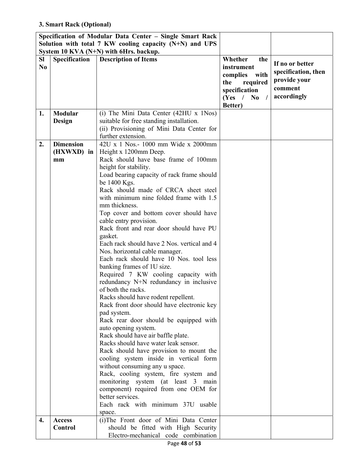|                      |                  | Specification of Modular Data Center - Single Smart Rack<br>Solution with total 7 KW cooling capacity (N+N) and UPS |                              |                     |
|----------------------|------------------|---------------------------------------------------------------------------------------------------------------------|------------------------------|---------------------|
|                      |                  | System 10 KVA (N+N) with 6Hrs. backup.                                                                              |                              |                     |
| Sl<br>N <sub>0</sub> | Specification    | <b>Description of Items</b>                                                                                         | Whether<br>the<br>instrument | If no or better     |
|                      |                  |                                                                                                                     | complies<br>with             | specification, then |
|                      |                  |                                                                                                                     | the<br>required              | provide your        |
|                      |                  |                                                                                                                     | specification                | comment             |
|                      |                  |                                                                                                                     | (Yes / No)<br>$\frac{1}{2}$  | accordingly         |
|                      |                  |                                                                                                                     | <b>Better</b> )              |                     |
| 1.                   | Modular          | (i) The Mini Data Center (42HU x 1Nos)                                                                              |                              |                     |
|                      | Design           | suitable for free standing installation.                                                                            |                              |                     |
|                      |                  | (ii) Provisioning of Mini Data Center for<br>further extension.                                                     |                              |                     |
| 2.                   | <b>Dimension</b> | 42U x 1 Nos.- 1000 mm Wide x 2000mm                                                                                 |                              |                     |
|                      | (HXWXD) in       | Height x 1200mm Deep.                                                                                               |                              |                     |
|                      | mm               | Rack should have base frame of 100mm                                                                                |                              |                     |
|                      |                  | height for stability.                                                                                               |                              |                     |
|                      |                  | Load bearing capacity of rack frame should                                                                          |                              |                     |
|                      |                  | be 1400 Kgs.                                                                                                        |                              |                     |
|                      |                  | Rack should made of CRCA sheet steel                                                                                |                              |                     |
|                      |                  | with minimum nine folded frame with 1.5                                                                             |                              |                     |
|                      |                  | mm thickness.                                                                                                       |                              |                     |
|                      |                  | Top cover and bottom cover should have<br>cable entry provision.                                                    |                              |                     |
|                      |                  | Rack front and rear door should have PU                                                                             |                              |                     |
|                      |                  | gasket.                                                                                                             |                              |                     |
|                      |                  | Each rack should have 2 Nos. vertical and 4                                                                         |                              |                     |
|                      |                  | Nos. horizontal cable manager.                                                                                      |                              |                     |
|                      |                  | Each rack should have 10 Nos. tool less                                                                             |                              |                     |
|                      |                  | banking frames of 1U size.                                                                                          |                              |                     |
|                      |                  | Required 7 KW cooling capacity with                                                                                 |                              |                     |
|                      |                  | redundancy N+N redundancy in inclusive                                                                              |                              |                     |
|                      |                  | of both the racks.                                                                                                  |                              |                     |
|                      |                  | Racks should have rodent repellent.                                                                                 |                              |                     |
|                      |                  | Rack front door should have electronic key<br>pad system.                                                           |                              |                     |
|                      |                  | Rack rear door should be equipped with                                                                              |                              |                     |
|                      |                  | auto opening system.                                                                                                |                              |                     |
|                      |                  | Rack should have air baffle plate.                                                                                  |                              |                     |
|                      |                  | Racks should have water leak sensor.                                                                                |                              |                     |
|                      |                  | Rack should have provision to mount the                                                                             |                              |                     |
|                      |                  | cooling system inside in vertical form                                                                              |                              |                     |
|                      |                  | without consuming any u space.                                                                                      |                              |                     |
|                      |                  | Rack, cooling system, fire system and                                                                               |                              |                     |
|                      |                  | monitoring system (at least 3 main<br>component) required from one OEM for                                          |                              |                     |
|                      |                  | better services.                                                                                                    |                              |                     |
|                      |                  | Each rack with minimum 37U usable                                                                                   |                              |                     |
|                      |                  | space.                                                                                                              |                              |                     |
| 4.                   | <b>Access</b>    | (i) The Front door of Mini Data Center                                                                              |                              |                     |
|                      | Control          | should be fitted with High Security                                                                                 |                              |                     |
|                      |                  | Electro-mechanical code combination                                                                                 |                              |                     |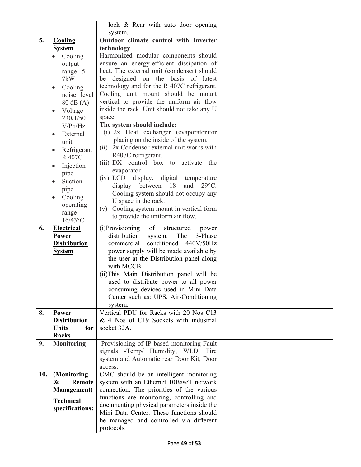|     |                                     | lock & Rear with auto door opening                    |  |
|-----|-------------------------------------|-------------------------------------------------------|--|
| 5.  |                                     | system,<br>Outdoor climate control with Inverter      |  |
|     | <b>Cooling</b>                      |                                                       |  |
|     | <b>System</b>                       | technology<br>Harmonized modular components should    |  |
|     | Cooling                             | ensure an energy-efficient dissipation of             |  |
|     | output<br>range $5 -$               | heat. The external unit (condenser) should            |  |
|     | 7kW                                 | be designed on the basis of latest                    |  |
|     | Cooling                             | technology and for the R 407C refrigerant.            |  |
|     | $\bullet$<br>noise level            | Cooling unit mount should be mount                    |  |
|     | $80$ dB $(A)$                       | vertical to provide the uniform air flow              |  |
|     | Voltage<br>$\bullet$                | inside the rack, Unit should not take any U           |  |
|     | 230/1/50                            | space.                                                |  |
|     | V/Ph/Hz                             | The system should include:                            |  |
|     | External<br>$\bullet$               | (i) 2x Heat exchanger (evaporator)for                 |  |
|     | unit                                | placing on the inside of the system.                  |  |
|     | Refrigerant<br>$\bullet$            | 2x Condensor external unit works with<br>(ii)         |  |
|     | R 407C                              | R407C refrigerant.                                    |  |
|     | Injection<br>$\bullet$              | (iii) DX control box to activate the                  |  |
|     | pipe                                | evaporator                                            |  |
|     | Suction<br>$\bullet$                | (iv) LCD display, digital temperature                 |  |
|     | pipe                                | display between 18<br>and<br>$29^{\circ}$ C.          |  |
|     | Cooling<br>$\bullet$                | Cooling system should not occupy any                  |  |
|     | operating                           | U space in the rack.                                  |  |
|     | range                               | Cooling system mount in vertical form<br>(v)          |  |
|     | $16/43$ °C                          | to provide the uniform air flow.                      |  |
| 6.  | <b>Electrical</b>                   | of<br>(i)Provisioning<br>structured<br>power          |  |
|     |                                     |                                                       |  |
|     | <b>Power</b>                        | distribution<br>The<br>system.<br>3-Phase             |  |
|     | <b>Distribution</b>                 | conditioned<br>440V/50Hz<br>commercial                |  |
|     | <b>System</b>                       | power supply will be made available by                |  |
|     |                                     | the user at the Distribution panel along              |  |
|     |                                     | with MCCB.                                            |  |
|     |                                     | (ii) This Main Distribution panel will be             |  |
|     |                                     | used to distribute power to all power                 |  |
|     |                                     | consuming devices used in Mini Data                   |  |
|     |                                     | Center such as: UPS, Air-Conditioning                 |  |
|     |                                     | system.                                               |  |
| 8.  | Power                               | Vertical PDU for Racks with 20 Nos C13                |  |
|     | <b>Distribution</b>                 | & 4 Nos of C19 Sockets with industrial                |  |
|     | <b>Units</b><br>for<br><b>Racks</b> | socket 32A.                                           |  |
| 9.  | <b>Monitoring</b>                   | Provisioning of IP based monitoring Fault             |  |
|     |                                     | signals -Temp/ Humidity, WLD, Fire                    |  |
|     |                                     | system and Automatic rear Door Kit, Door              |  |
|     |                                     | access.                                               |  |
| 10. | (Monitoring                         | CMC should be an intelligent monitoring               |  |
|     | &<br>Remote                         | system with an Ethernet 10BaseT network               |  |
|     | <b>Management</b> )                 | connection. The priorities of the various             |  |
|     |                                     | functions are monitoring, controlling and             |  |
|     | <b>Technical</b>                    | documenting physical parameters inside the            |  |
|     | specifications:                     | Mini Data Center. These functions should              |  |
|     |                                     | be managed and controlled via different<br>protocols. |  |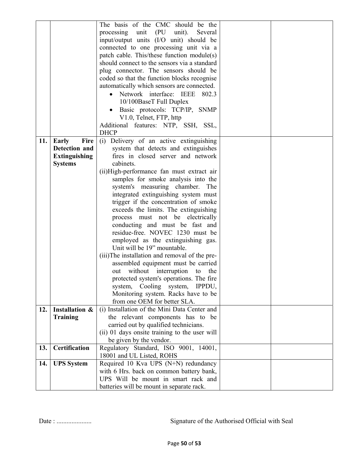|      |                           | The basis of the CMC should be the            |  |
|------|---------------------------|-----------------------------------------------|--|
|      |                           |                                               |  |
|      |                           | processing unit (PU unit).<br>Several         |  |
|      |                           | input/output units (I/O unit) should be       |  |
|      |                           | connected to one processing unit via a        |  |
|      |                           | patch cable. This/these function module(s)    |  |
|      |                           | should connect to the sensors via a standard  |  |
|      |                           | plug connector. The sensors should be         |  |
|      |                           | coded so that the function blocks recognise   |  |
|      |                           | automatically which sensors are connected.    |  |
|      |                           | Network interface: IEEE<br>802.3              |  |
|      |                           | 10/100BaseT Full Duplex                       |  |
|      |                           | Basic protocols: TCP/IP, SNMP                 |  |
|      |                           | V1.0, Telnet, FTP, http                       |  |
|      |                           | Additional features: NTP, SSH, SSL,           |  |
|      |                           | <b>DHCP</b>                                   |  |
| 11.1 | Fire<br><b>Early</b>      | Delivery of an active extinguishing<br>(i)    |  |
|      | Detection and             | system that detects and extinguishes          |  |
|      | <b>Extinguishing</b>      | fires in closed server and network            |  |
|      | <b>Systems</b>            | cabinets.                                     |  |
|      |                           | (ii)High-performance fan must extract air     |  |
|      |                           | samples for smoke analysis into the           |  |
|      |                           | system's measuring chamber.<br>The            |  |
|      |                           | integrated extinguishing system must          |  |
|      |                           | trigger if the concentration of smoke         |  |
|      |                           | exceeds the limits. The extinguishing         |  |
|      |                           | process must not be electrically              |  |
|      |                           | conducting and must be fast and               |  |
|      |                           | residue-free. NOVEC 1230 must be              |  |
|      |                           | employed as the extinguishing gas.            |  |
|      |                           | Unit will be 19" mountable.                   |  |
|      |                           | (iii)The installation and removal of the pre- |  |
|      |                           | assembled equipment must be carried           |  |
|      |                           | without interruption<br>to<br>out<br>the      |  |
|      |                           | protected system's operations. The fire       |  |
|      |                           | system, Cooling system, IPPDU,                |  |
|      |                           | Monitoring system. Racks have to be           |  |
|      |                           | from one OEM for better SLA.                  |  |
| 12.  | <b>Installation &amp;</b> | (i) Installation of the Mini Data Center and  |  |
|      | <b>Training</b>           | the relevant components has to be             |  |
|      |                           | carried out by qualified technicians.         |  |
|      |                           | (ii) 01 days onsite training to the user will |  |
|      |                           | be given by the vendor.                       |  |
| 13.  | <b>Certification</b>      | Regulatory Standard, ISO 9001, 14001,         |  |
|      |                           | 18001 and UL Listed, ROHS                     |  |
| 14.  | <b>UPS</b> System         | Required 10 Kva UPS (N+N) redundancy          |  |
|      |                           | with 6 Hrs. back on common battery bank,      |  |
|      |                           | UPS Will be mount in smart rack and           |  |
|      |                           | batteries will be mount in separate rack.     |  |

Date : ..................... Signature of the Authorised Official with Seal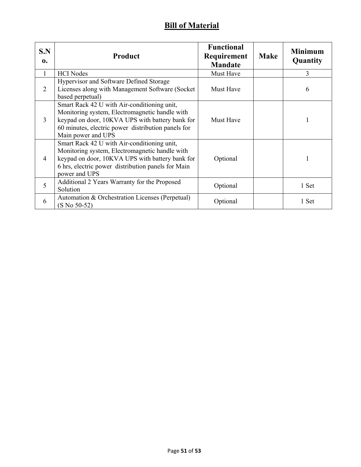# **Bill of Material**

| S.N<br>$\mathbf{0}$ . | <b>Product</b>                                                                                                                                                                                                               | <b>Functional</b><br>Requirement<br><b>Mandate</b> | <b>Make</b> | <b>Minimum</b><br>Quantity |
|-----------------------|------------------------------------------------------------------------------------------------------------------------------------------------------------------------------------------------------------------------------|----------------------------------------------------|-------------|----------------------------|
| $\mathbf{1}$          | <b>HCI</b> Nodes                                                                                                                                                                                                             | Must Have                                          |             | 3                          |
| 2                     | <b>Hypervisor and Software Defined Storage</b><br>Licenses along with Management Software (Socket<br>based perpetual)                                                                                                        | Must Have                                          |             | 6                          |
| $\overline{3}$        | Smart Rack 42 U with Air-conditioning unit,<br>Monitoring system, Electromagnetic handle with<br>keypad on door, 10KVA UPS with battery bank for<br>60 minutes, electric power distribution panels for<br>Main power and UPS | Must Have                                          |             |                            |
| $\overline{4}$        | Smart Rack 42 U with Air-conditioning unit,<br>Monitoring system, Electromagnetic handle with<br>keypad on door, 10KVA UPS with battery bank for<br>6 hrs, electric power distribution panels for Main<br>power and UPS      | Optional                                           |             |                            |
| 5                     | Additional 2 Years Warranty for the Proposed<br>Solution                                                                                                                                                                     | Optional                                           |             | 1 Set                      |
| 6                     | Automation & Orchestration Licenses (Perpetual)<br>$(S N0 50-52)$                                                                                                                                                            | Optional                                           |             | 1 Set                      |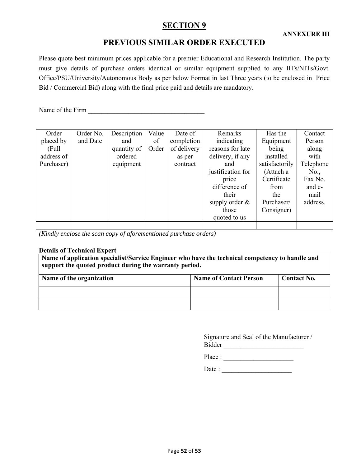# **SECTION 9**

# **PREVIOUS SIMILAR ORDER EXECUTED**

Please quote best minimum prices applicable for a premier Educational and Research Institution. The party must give details of purchase orders identical or similar equipment supplied to any IITs/NITs/Govt. Office/PSU/University/Autonomous Body as per below Format in last Three years (to be enclosed in Price Bid / Commercial Bid) along with the final price paid and details are mandatory.

Name of the Firm \_\_\_\_\_\_\_\_\_\_\_\_\_\_\_\_\_\_\_\_\_\_\_\_\_\_\_\_\_\_\_\_\_\_\_

| Order      | Order No. | Description | Value | Date of     | Remarks           | Has the        | Contact   |
|------------|-----------|-------------|-------|-------------|-------------------|----------------|-----------|
| placed by  | and Date  | and         | of    | completion  | indicating        | Equipment      | Person    |
| (Full)     |           | quantity of | Order | of delivery | reasons for late  | being          | along     |
| address of |           | ordered     |       | as per      | delivery, if any  | installed      | with      |
| Purchaser) |           | equipment   |       | contract    | and               | satisfactorily | Telephone |
|            |           |             |       |             | justification for | (Attach a      | No.,      |
|            |           |             |       |             | price             | Certificate    | Fax No.   |
|            |           |             |       |             | difference of     | from           | and e-    |
|            |           |             |       |             | their             | the            | mail      |
|            |           |             |       |             | supply order $\&$ | Purchaser/     | address.  |
|            |           |             |       |             | those             | Consigner)     |           |
|            |           |             |       |             | quoted to us      |                |           |
|            |           |             |       |             |                   |                |           |

*(Kindly enclose the scan copy of aforementioned purchase orders)* 

### **Details of Technical Expert**

**Name of application specialist/Service Engineer who have the technical competency to handle and support the quoted product during the warranty period.**

| Name of the organization | <b>Name of Contact Person</b> | <b>Contact No.</b> |
|--------------------------|-------------------------------|--------------------|
|                          |                               |                    |
|                          |                               |                    |

Signature and Seal of the Manufacturer / Bidder \_\_\_\_\_\_\_\_\_\_\_\_\_\_\_\_\_\_\_\_\_\_\_\_

Place : \_\_\_\_\_\_\_\_\_\_\_\_\_\_\_\_\_\_\_\_\_

Date : \_\_\_\_\_\_\_\_\_\_\_\_\_\_\_\_\_\_\_\_\_